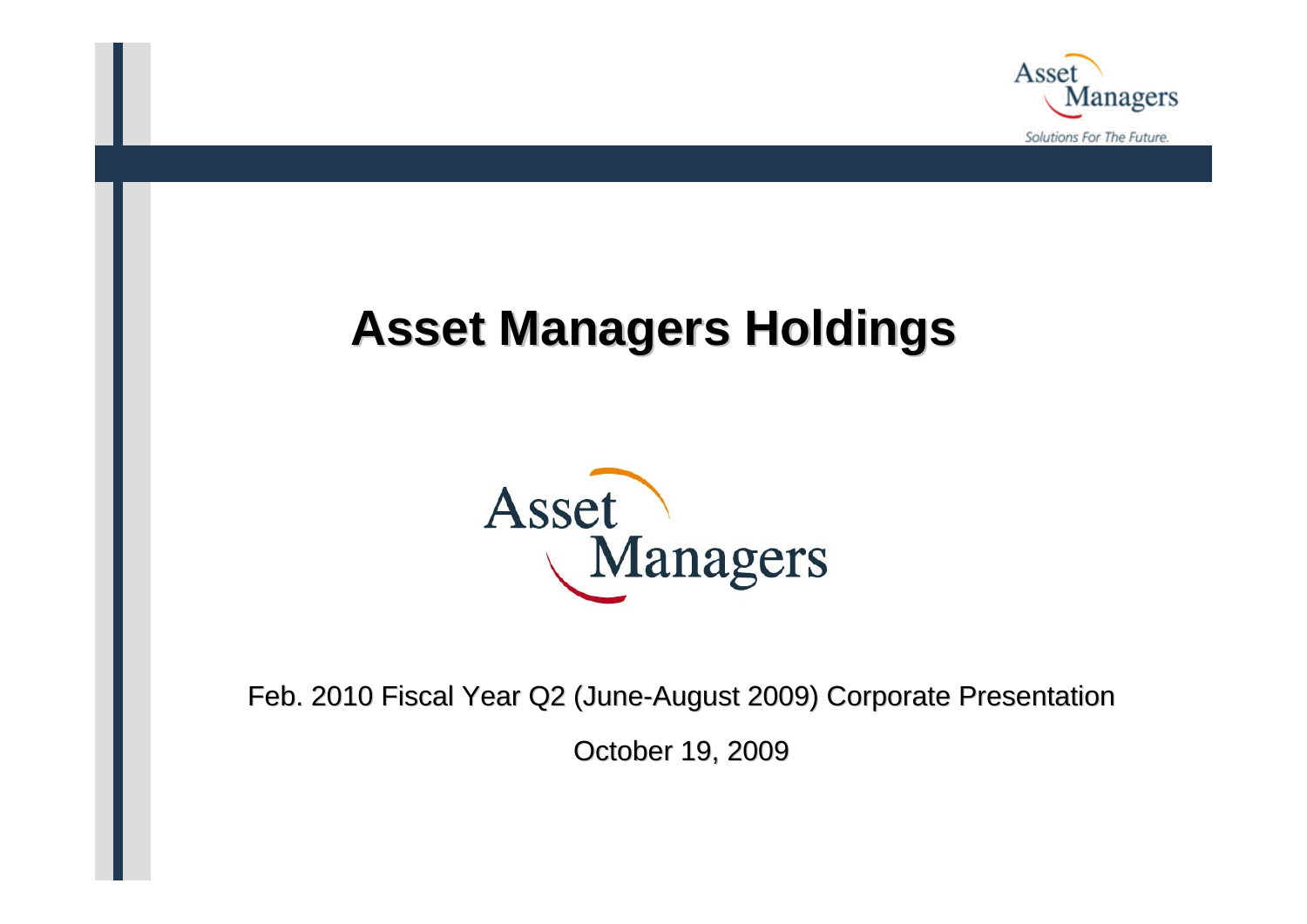

# **Asset Managers Holdings Asset Managers Holdings**



Feb. 2010 Fiscal Year Q2 (June-August 2009) Corporate Presentation

October 19, 2009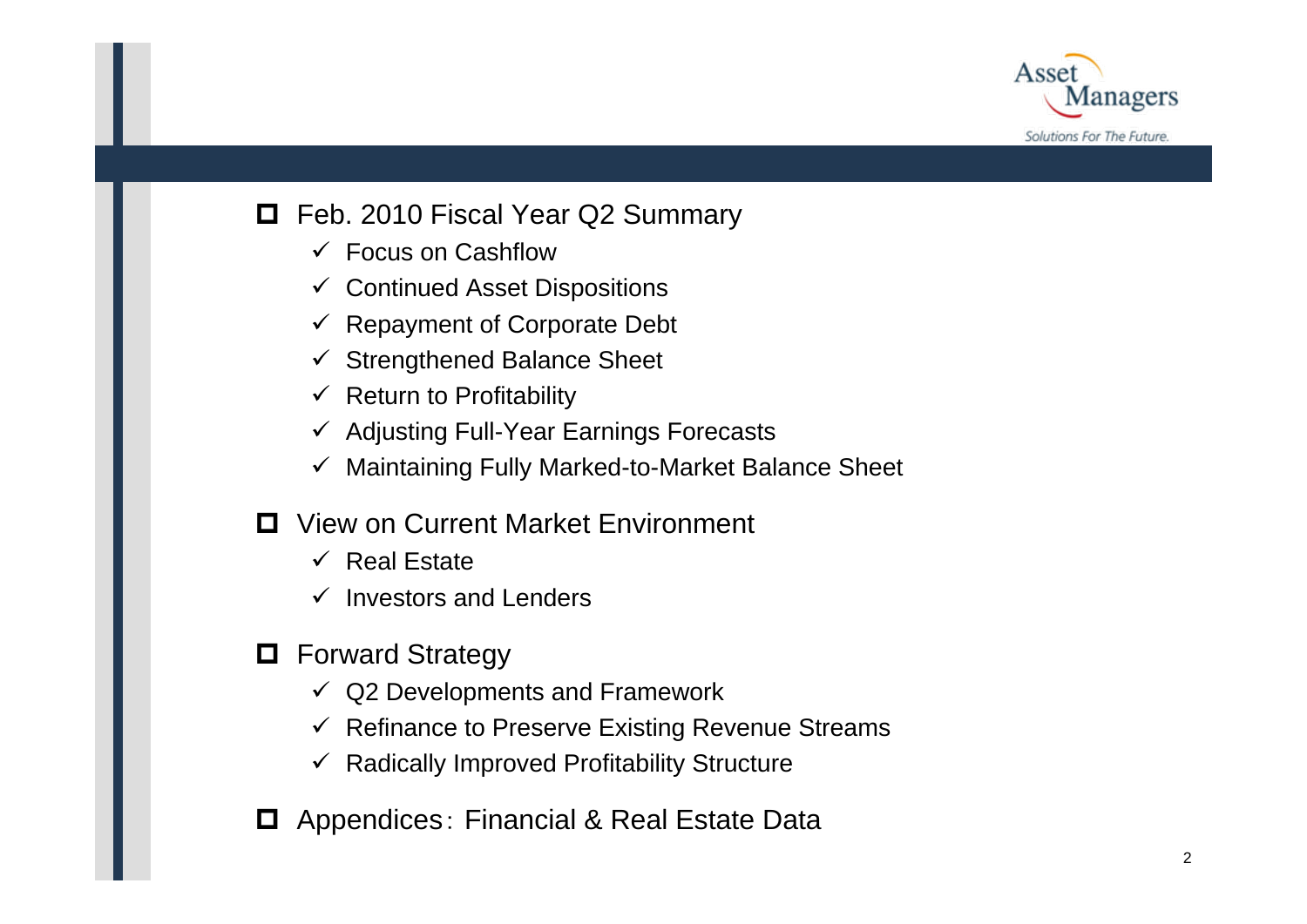

### **□** Feb. 2010 Fiscal Year Q2 Summary

- $\checkmark$  Focus on Cashflow
- $\checkmark$  Continued Asset Dispositions
- $\checkmark$  Repayment of Corporate Debt
- $\checkmark$  Strengthened Balance Sheet
- $\checkmark$  Return to Profitability
- $\checkmark$  Adjusting Full-Year Earnings Forecasts
- $\checkmark$ Maintaining Fully Marked-to-Market Balance Sheet
- **□** View on Current Market Environment
	- $\checkmark$  Real Estate
	- $\checkmark$  Investors and Lenders
- **D** Forward Strategy
	- $\checkmark$ Q2 Developments and Framework
	- $\checkmark$  Refinance to Preserve Existing Revenue Streams
	- $\checkmark$  Radically Improved Profitability Structure
- **□** Appendices: Financial & Real Estate Data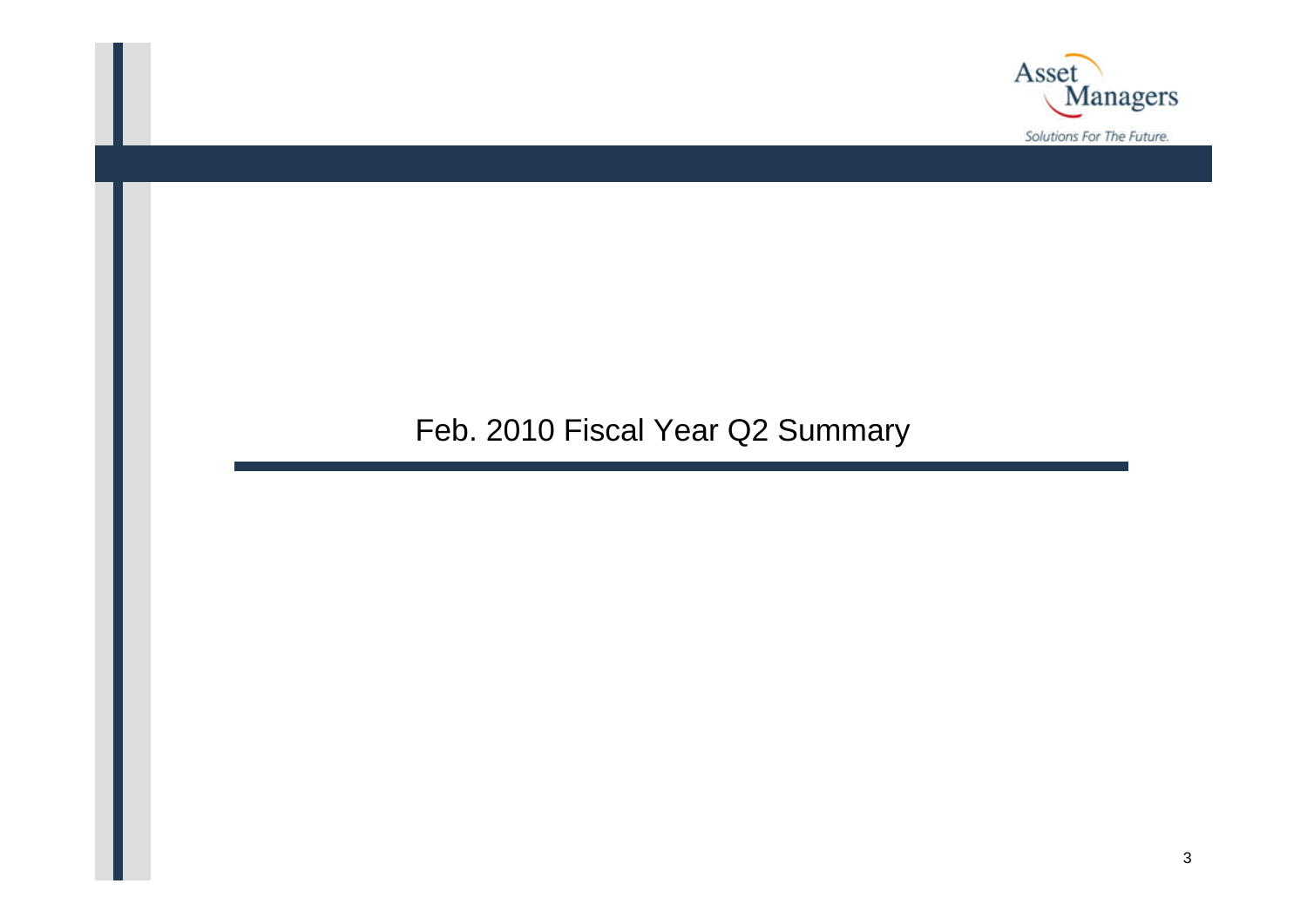

### Feb. 2010 Fiscal Year Q2 Summary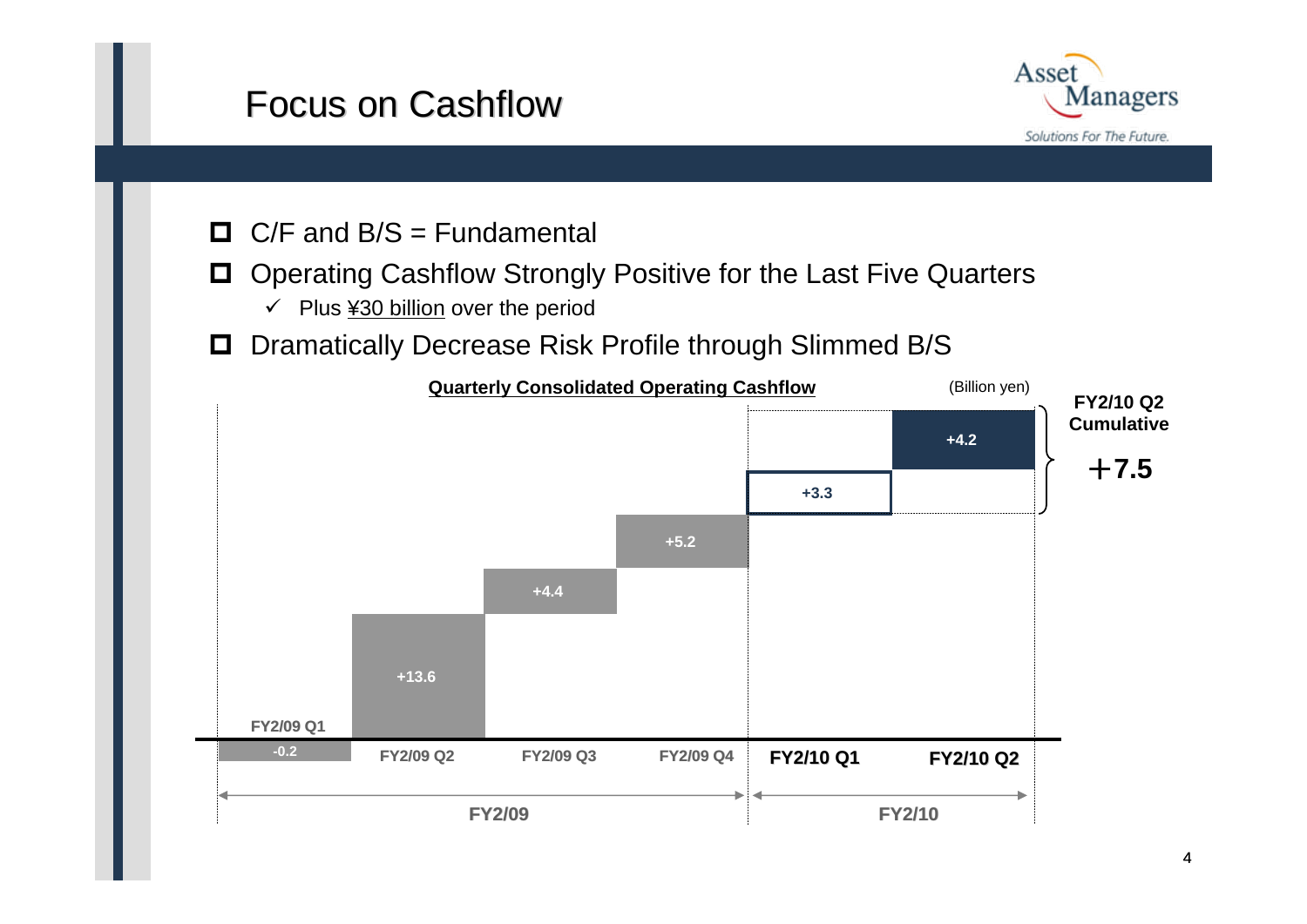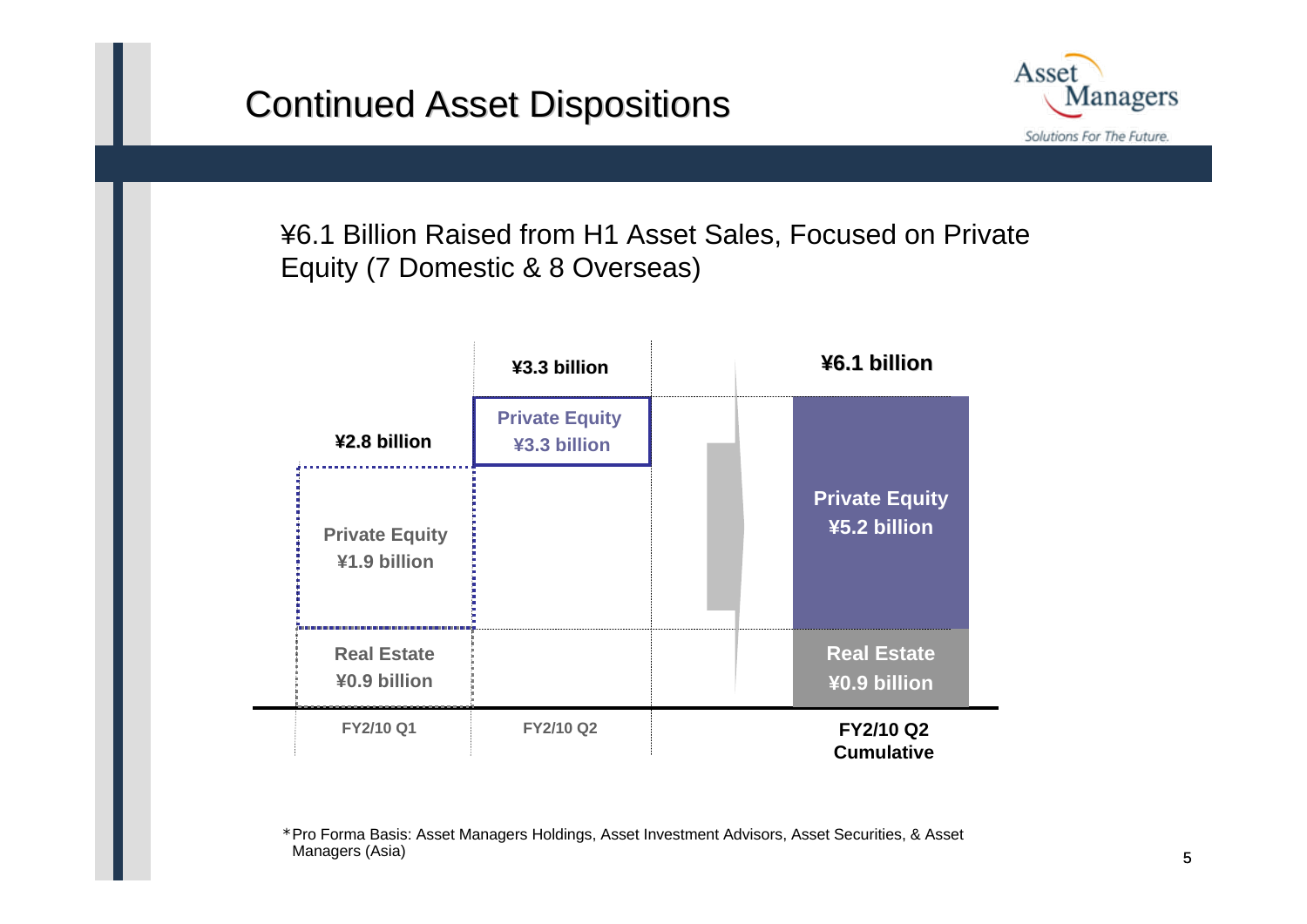

¥6.1 Billion Raised from H1 Asset Sales, Focused on Private Equity (7 Domestic & 8 Overseas)

|                                       | ¥3.3 billion                          |  | ¥6.1 billion                          |  |
|---------------------------------------|---------------------------------------|--|---------------------------------------|--|
| ¥2.8 billion                          | <b>Private Equity</b><br>¥3.3 billion |  |                                       |  |
| <b>Private Equity</b><br>¥1.9 billion |                                       |  | <b>Private Equity</b><br>¥5.2 billion |  |
| <b>Real Estate</b><br>¥0.9 billion    |                                       |  | <b>Real Estate</b><br>¥0.9 billion    |  |
| FY2/10 Q1                             | <b>FY2/10 Q2</b>                      |  | FY2/10 Q2<br><b>Cumulative</b>        |  |

\*Pro Forma Basis: Asset Managers Holdings, Asset Investment Advisors, Asset Securities, & Asset Managers (Asia)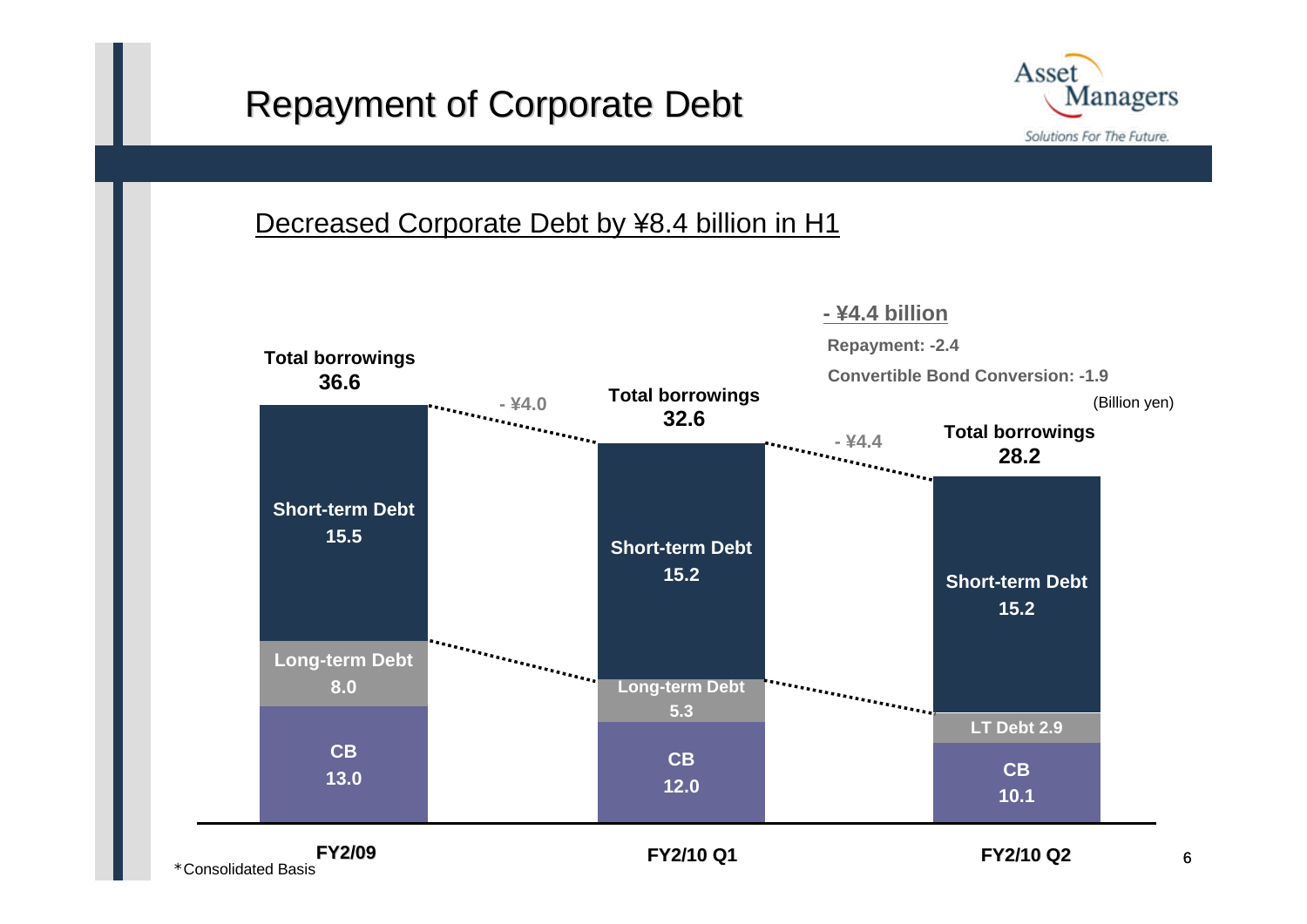# Repayment of Corporate Debt



### Decreased Corporate Debt by ¥8.4 billion in H1



\*Consolidated Basis

6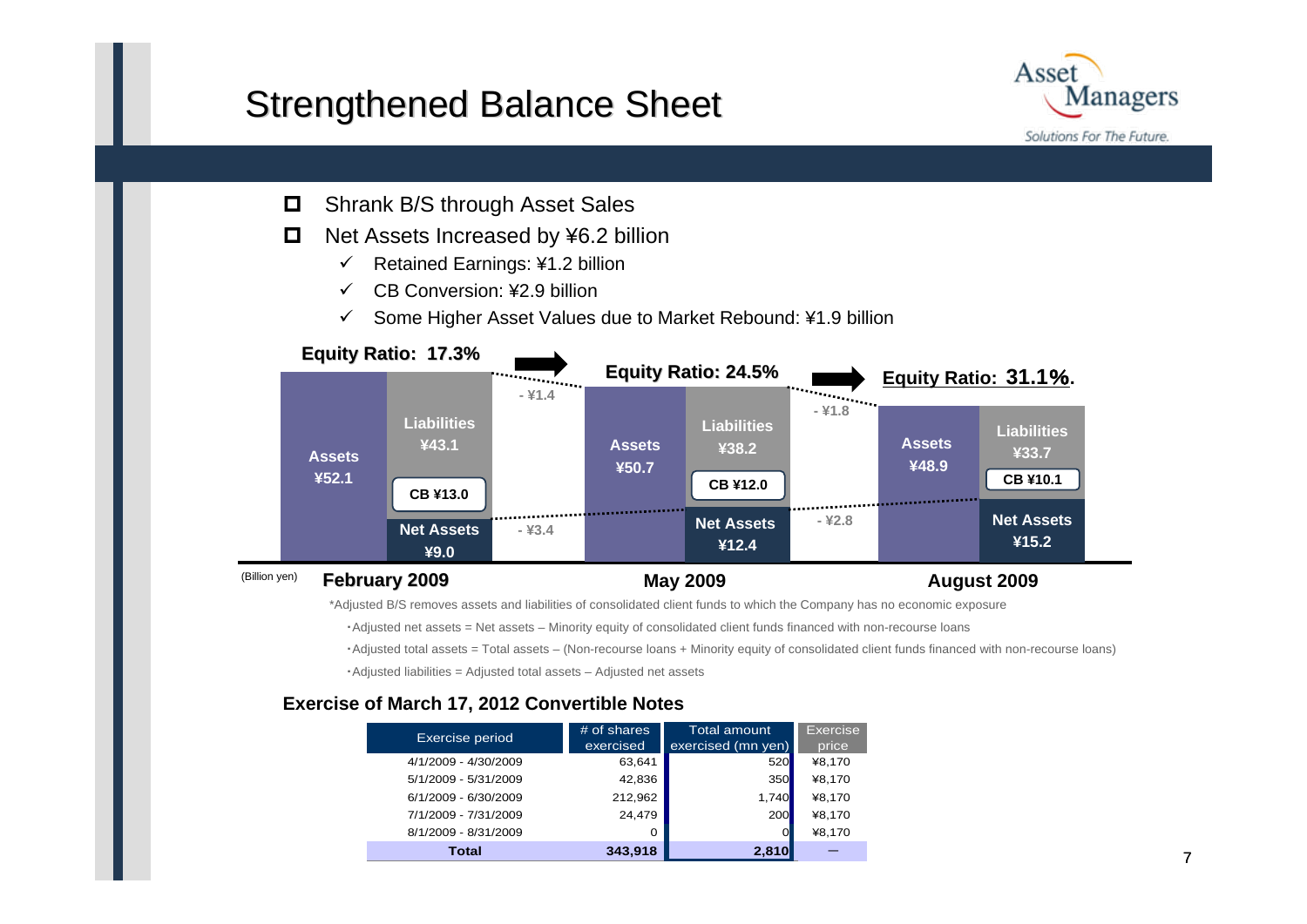### **Strengthened Balance Sheet**



- $\Box$ Shrank B/S through Asset Sales
- $\Box$  Net Assets Increased by ¥6.2 billion
	- $\checkmark$ Retained Earnings: ¥1.2 billion
	- $\checkmark$ CB Conversion: ¥2.9 billion
	- $\checkmark$ Some Higher Asset Values due to Market Rebound: ¥1.9 billion



\*Adjusted B/S removes assets and liabilities of consolidated client funds to which the Company has no economic exposure

- ・Adjusted net assets = Net assets Minority equity of consolidated client funds financed with non-recourse loans
- ・Adjusted total assets = Total assets (Non-recourse loans + Minority equity of consolidated client funds financed with non-recourse loans)

・Adjusted liabilities = Adjusted total assets – Adjusted net assets

### **Exercise of March 17, 2012 Convertible Notes**

| <b>Exercise period</b> | # of shares<br>exercised | <b>Total amount</b><br>exercised (mn yen) | <b>Exercise</b><br>price |
|------------------------|--------------------------|-------------------------------------------|--------------------------|
| 4/1/2009 - 4/30/2009   | 63,641                   | 520                                       | ¥8,170                   |
| 5/1/2009 - 5/31/2009   | 42,836                   | <b>350</b>                                | ¥8,170                   |
| 6/1/2009 - 6/30/2009   | 212,962                  | 1,740                                     | ¥8,170                   |
| 7/1/2009 - 7/31/2009   | 24.479                   | <b>200</b>                                | ¥8,170                   |
| 8/1/2009 - 8/31/2009   | Ω                        |                                           | ¥8,170                   |
| Total                  | 343,918                  | 2,810                                     |                          |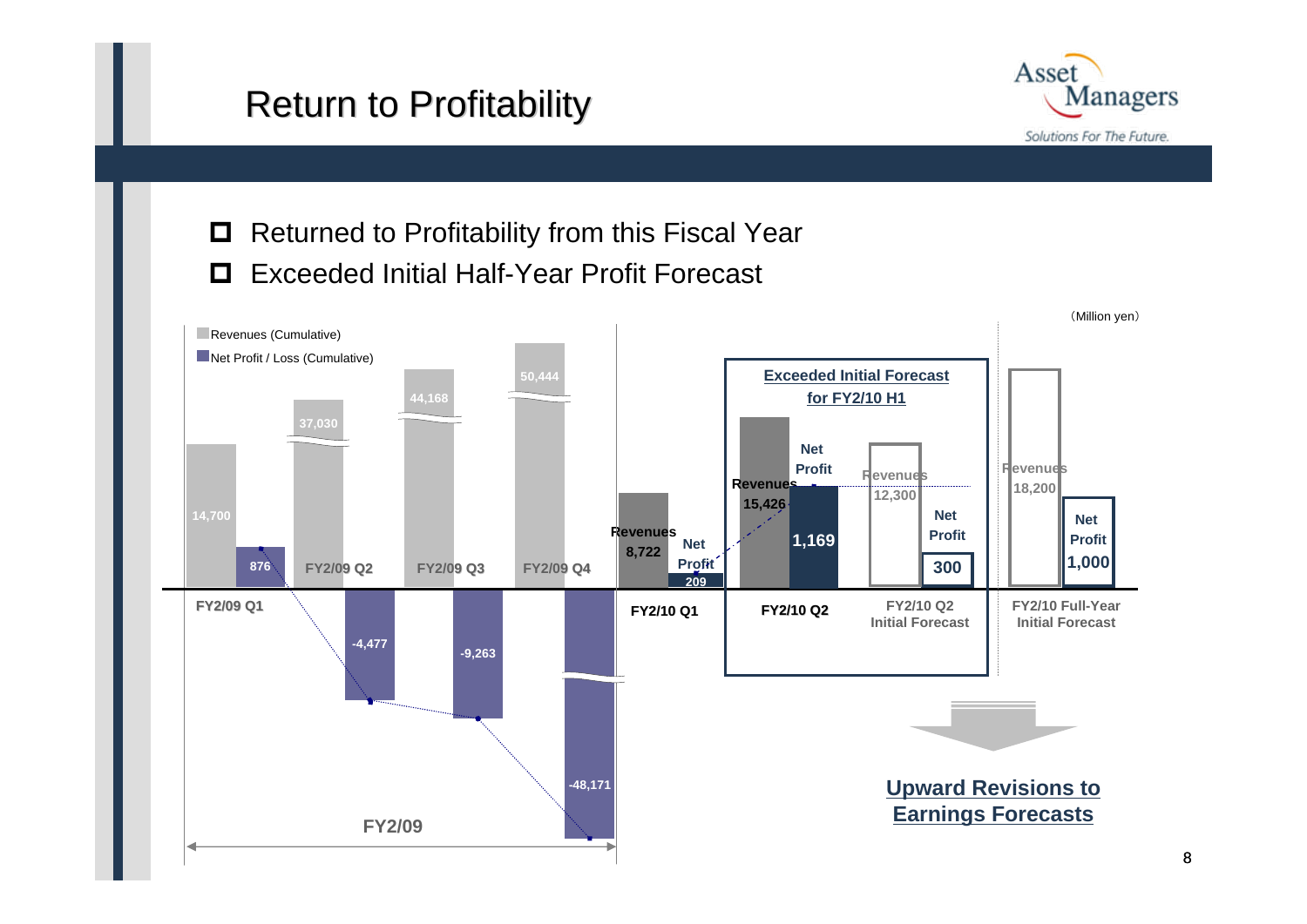# **Return to Profitability**



### **□** Returned to Profitability from this Fiscal Year Exceeded Initial Half-Year Profit Forecast

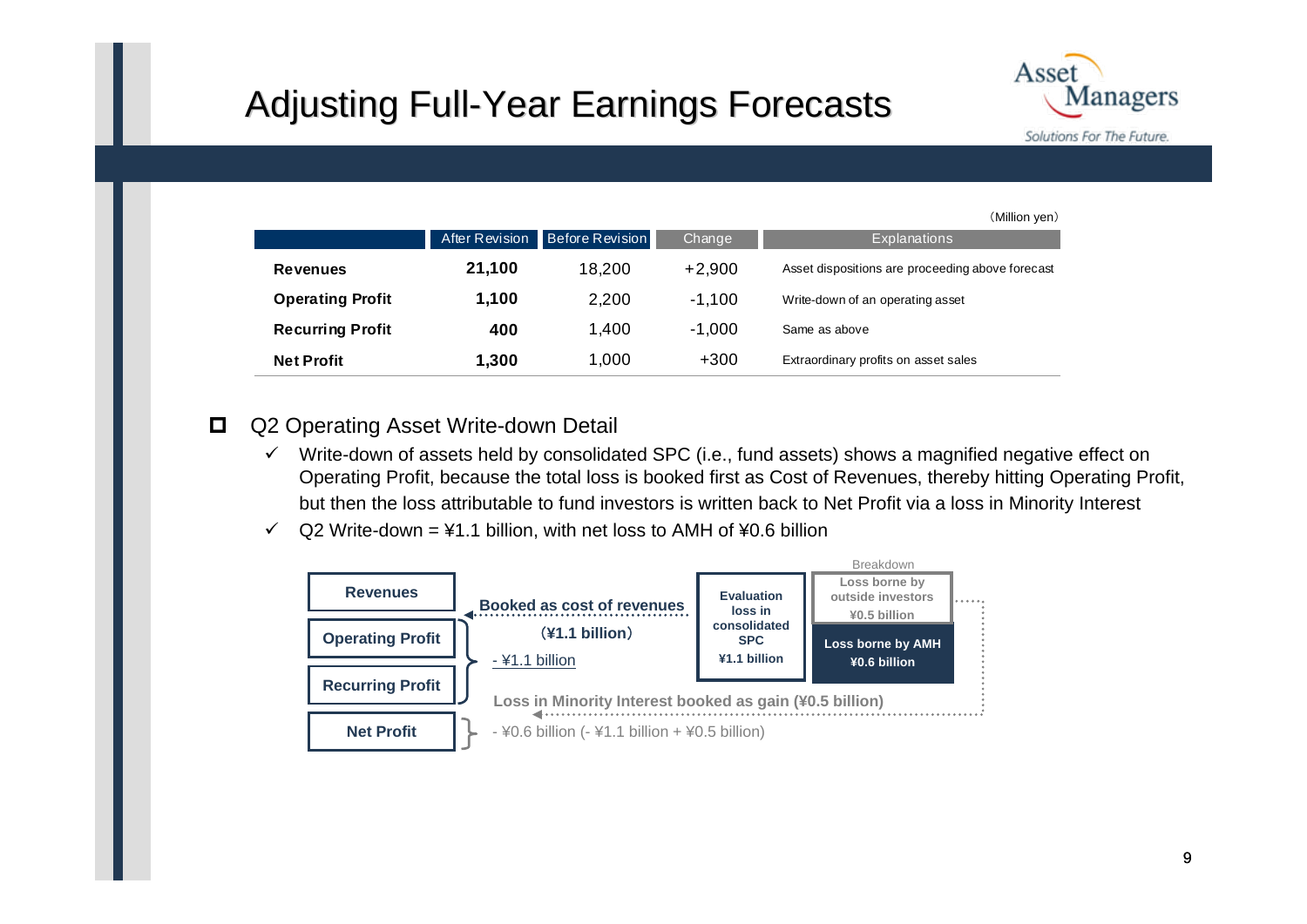# Adjusting Full-Year Earnings Forecasts



(Million yen)

|                         |                |                        |          | (Million yen <i>)</i>                            |
|-------------------------|----------------|------------------------|----------|--------------------------------------------------|
|                         | After Revision | <b>Before Revision</b> | Change   | <b>Explanations</b>                              |
| <b>Revenues</b>         | 21,100         | 18.200                 | $+2,900$ | Asset dispositions are proceeding above forecast |
| <b>Operating Profit</b> | 1,100          | 2,200                  | $-1,100$ | Write-down of an operating asset                 |
| <b>Recurring Profit</b> | 400            | 1,400                  | $-1,000$ | Same as above                                    |
| <b>Net Profit</b>       | 1,300          | 1,000                  | $+300$   | Extraordinary profits on asset sales             |

#### $\Box$ Q2 Operating Asset Write-down Detail

- $\checkmark$  Write-down of assets held by consolidated SPC (i.e., fund assets) shows a magnified negative effect on Operating Profit, because the total loss is booked first as Cost of Revenues, thereby hitting Operating Profit, but then the loss attributable to fund investors is written back to Net Profit via a loss in Minority Interest
- $\checkmark$  $Q2$  Write-down = ¥1.1 billion, with net loss to AMH of ¥0.6 billion

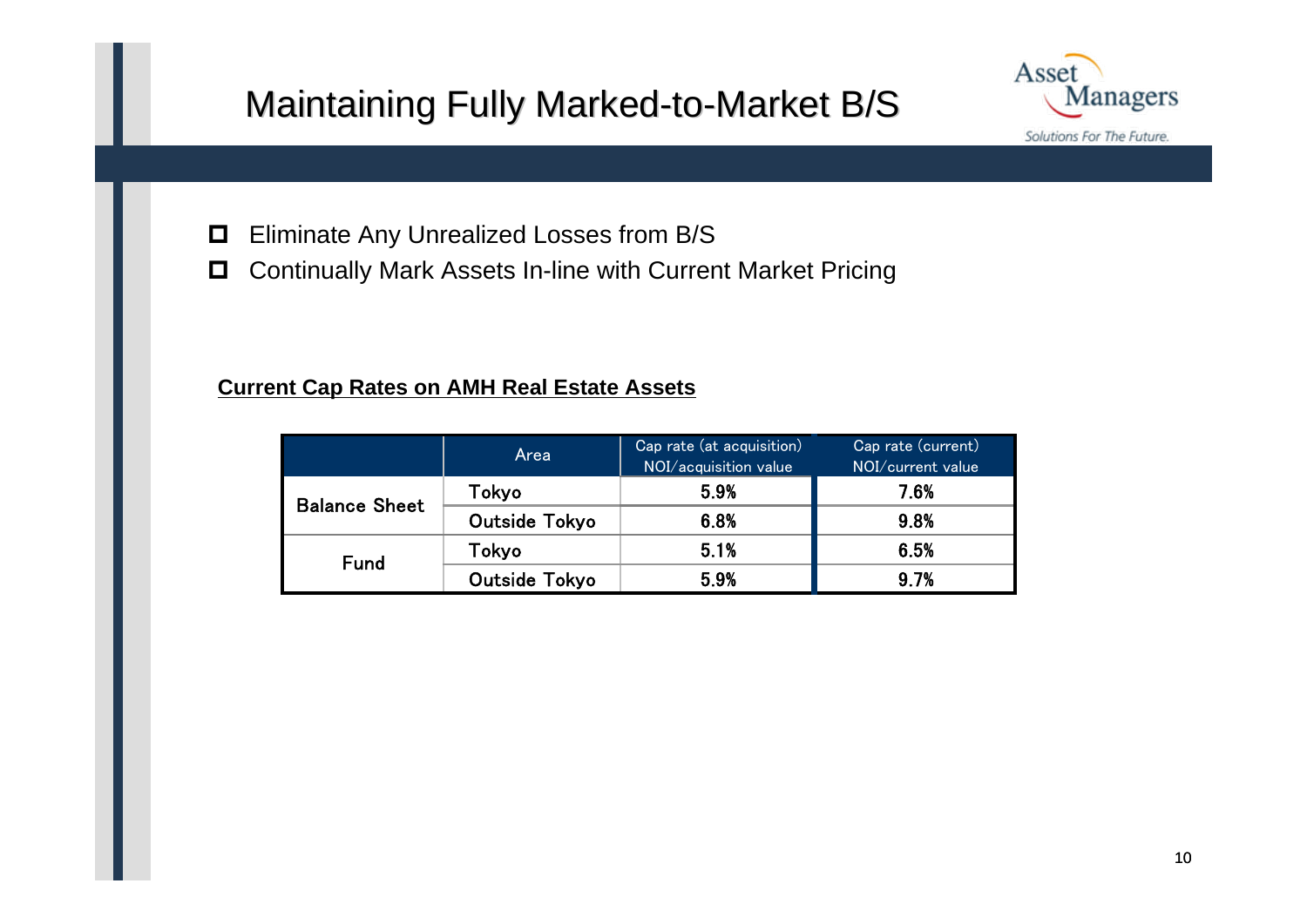# Maintaining Fully Marked-to-Market B/S



- $\Box$ Eliminate Any Unrealized Losses from B/S
- $\Box$ Continually Mark Assets In-line with Current Market Pricing

### **Current Cap Rates on AMH Real Estate Assets**

|                      | Area          | Cap rate (at acquisition)<br>NOI/acquisition value | Cap rate (current)<br>NOI/current value |
|----------------------|---------------|----------------------------------------------------|-----------------------------------------|
| <b>Balance Sheet</b> | Tokyo         | 5.9%                                               | 7.6%                                    |
|                      | Outside Tokyo | 6.8%                                               | 9.8%                                    |
| <b>Fund</b>          | Tokyo         | 5.1%                                               | 6.5%                                    |
|                      | Outside Tokyo | 5.9%                                               | 9.7%                                    |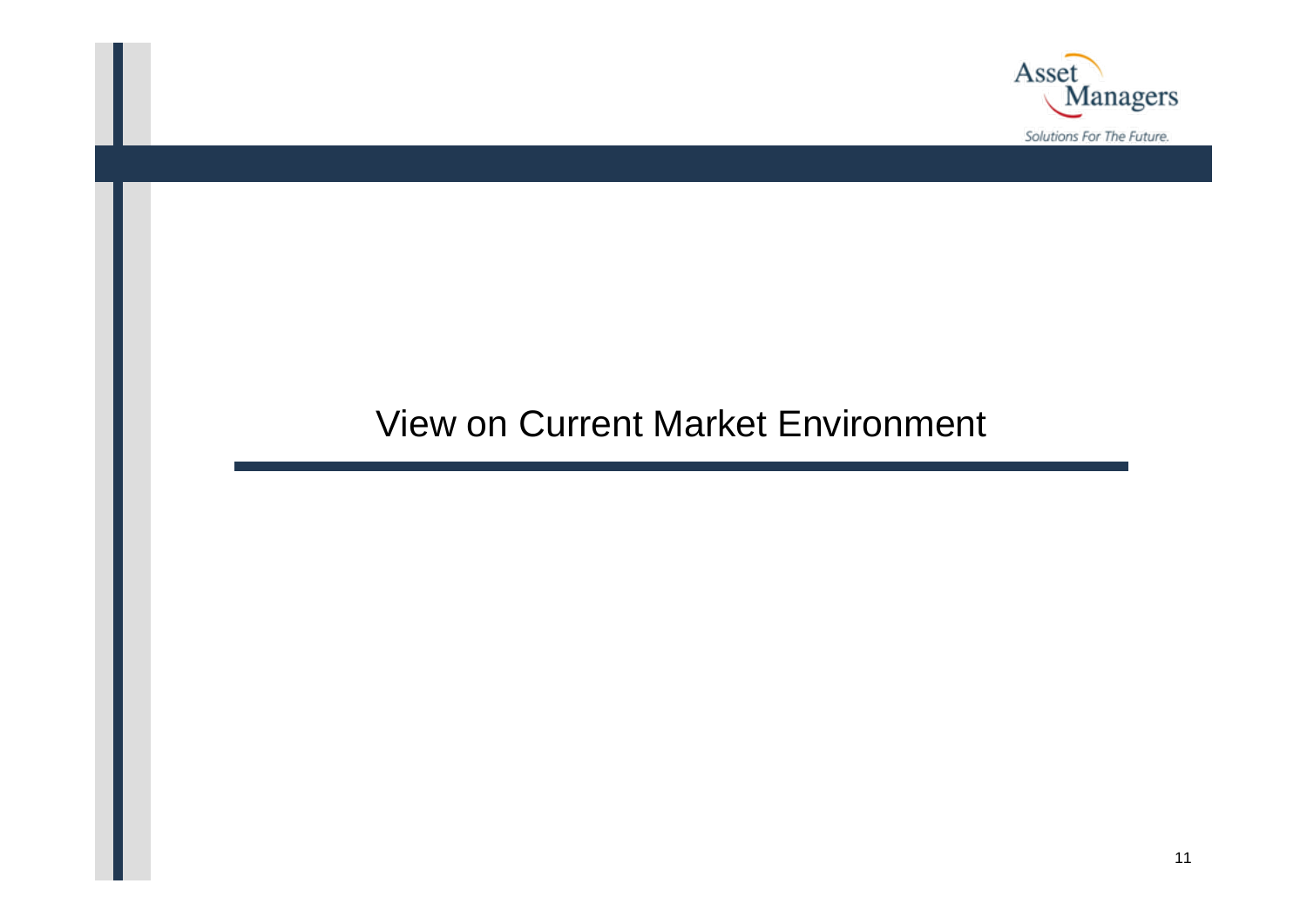

### View on Current Market Environment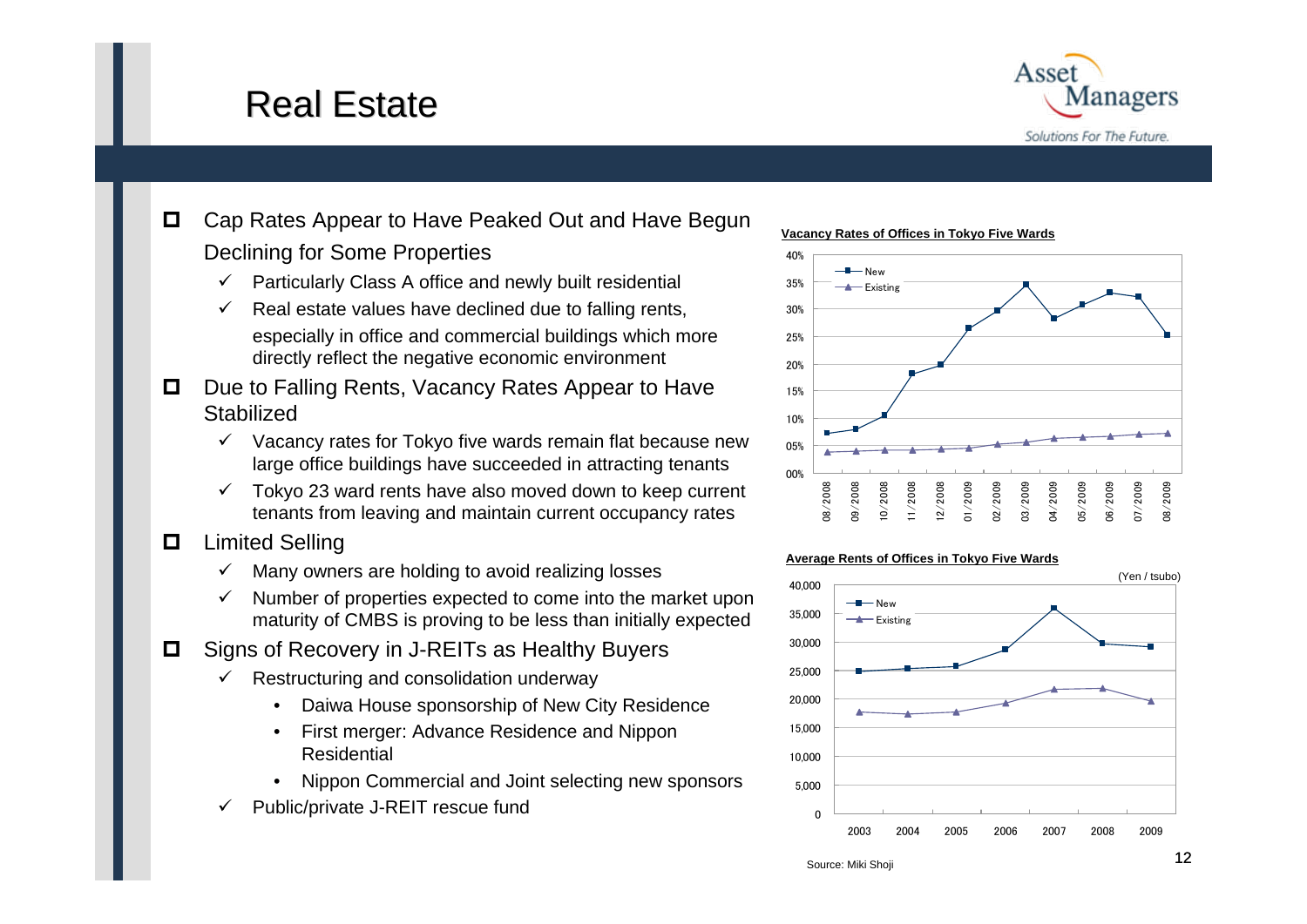### Real Estate



### $\Box$  Cap Rates Appear to Have Peaked Out and Have Begun Declining for Some Properties

- $\checkmark$ Particularly Class A office and newly built residential
- $\checkmark$  Real estate values have declined due to falling rents, especially in office and commercial buildings which more directly reflect the negative economic environment
- $\Box$  Due to Falling Rents, Vacancy Rates Appear to Have **Stabilized** 
	- $\checkmark$  Vacancy rates for Tokyo five wards remain flat because new large office buildings have succeeded in attracting tenants
	- $\checkmark$  Tokyo 23 ward rents have also moved down to keep current tenants from leaving and maintain current occupancy rates
- $\Box$  Limited Selling
	- $\checkmark$ Many owners are holding to avoid realizing losses
	- $\checkmark$  Number of properties expected to come into the market upon maturity of CMBS is proving to be less than initially expected
- $\Box$  Signs of Recovery in J-REITs as Healthy Buyers
	- $\checkmark$  Restructuring and consolidation underway
		- Daiwa House sponsorship of New City Residence
		- First merger: Advance Residence and Nippon Residential
		- Nippon Commercial and Joint selecting new sponsors
	- $\checkmark$ Public/private J-REIT rescue fund

### **Vacancy Rates of Offices in Tokyo Five Wards**



### **Average Rents of Offices in Tokyo Five Wards**



Source: Miki Shoji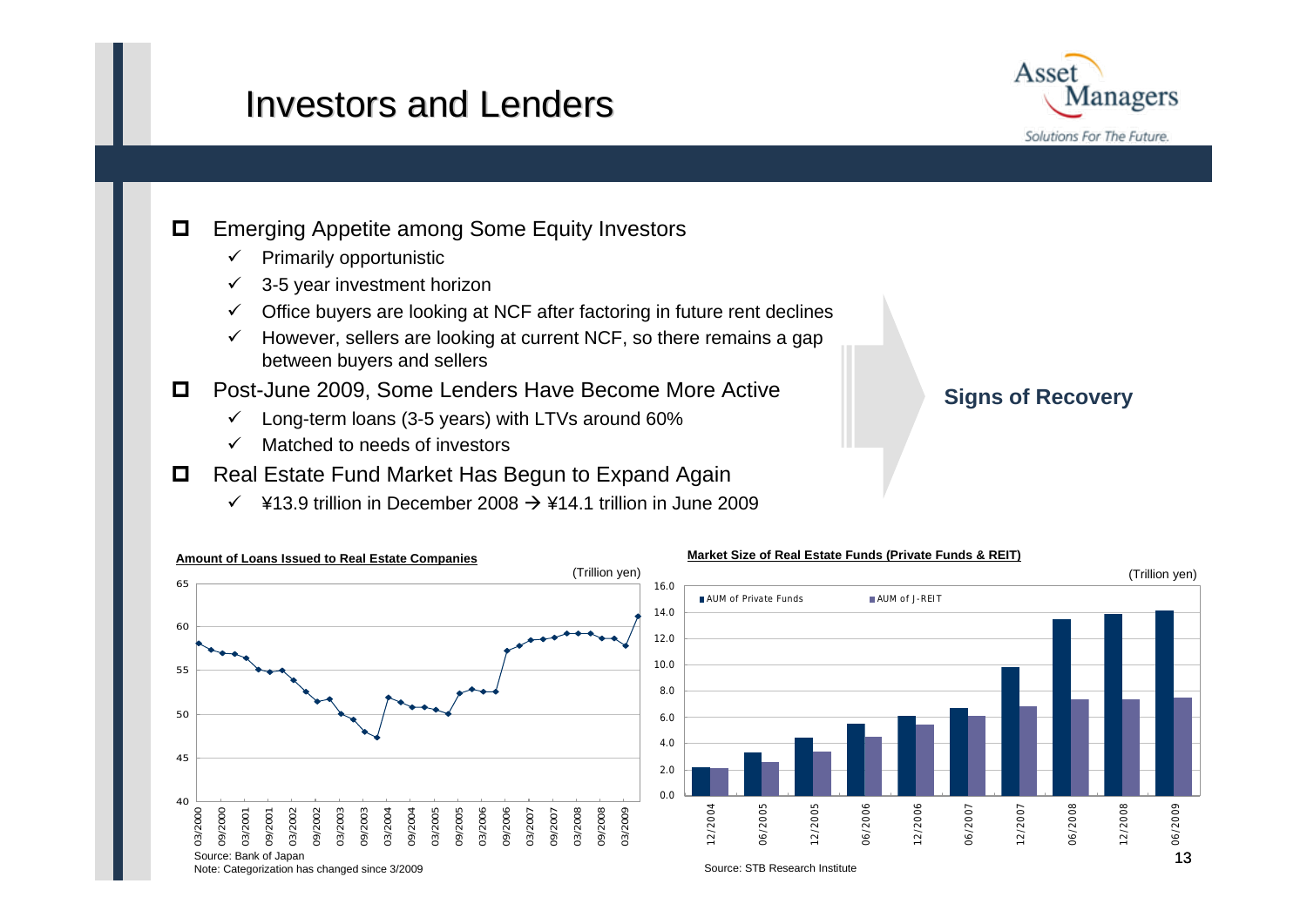### Investors and Lenders



#### $\Box$ Emerging Appetite among Some Equity Investors

- $\checkmark$  Primarily opportunistic
- $\checkmark$ 3-5 year investment horizon
- $\checkmark$  Office buyers are looking at NCF after factoring in future rent declines
- $\checkmark$  However, sellers are looking at current NCF, so there remains a gap between buyers and sellers
- $\Box$  Post-June 2009, Some Lenders Have Become More Active
	- $\checkmark$ Long-term loans (3-5 years) with LTVs around 60%
	- $\checkmark$ Matched to needs of investors
- $\Box$  Real Estate Fund Market Has Begun to Expand Again
	- $\checkmark$  ¥13.9 trillion in December 2008  $\rightarrow$  ¥14.1 trillion in June 2009

### **Signs of Recovery**



#### Note: Categorization has changed since 3/2009

#### Source: STB Research Institute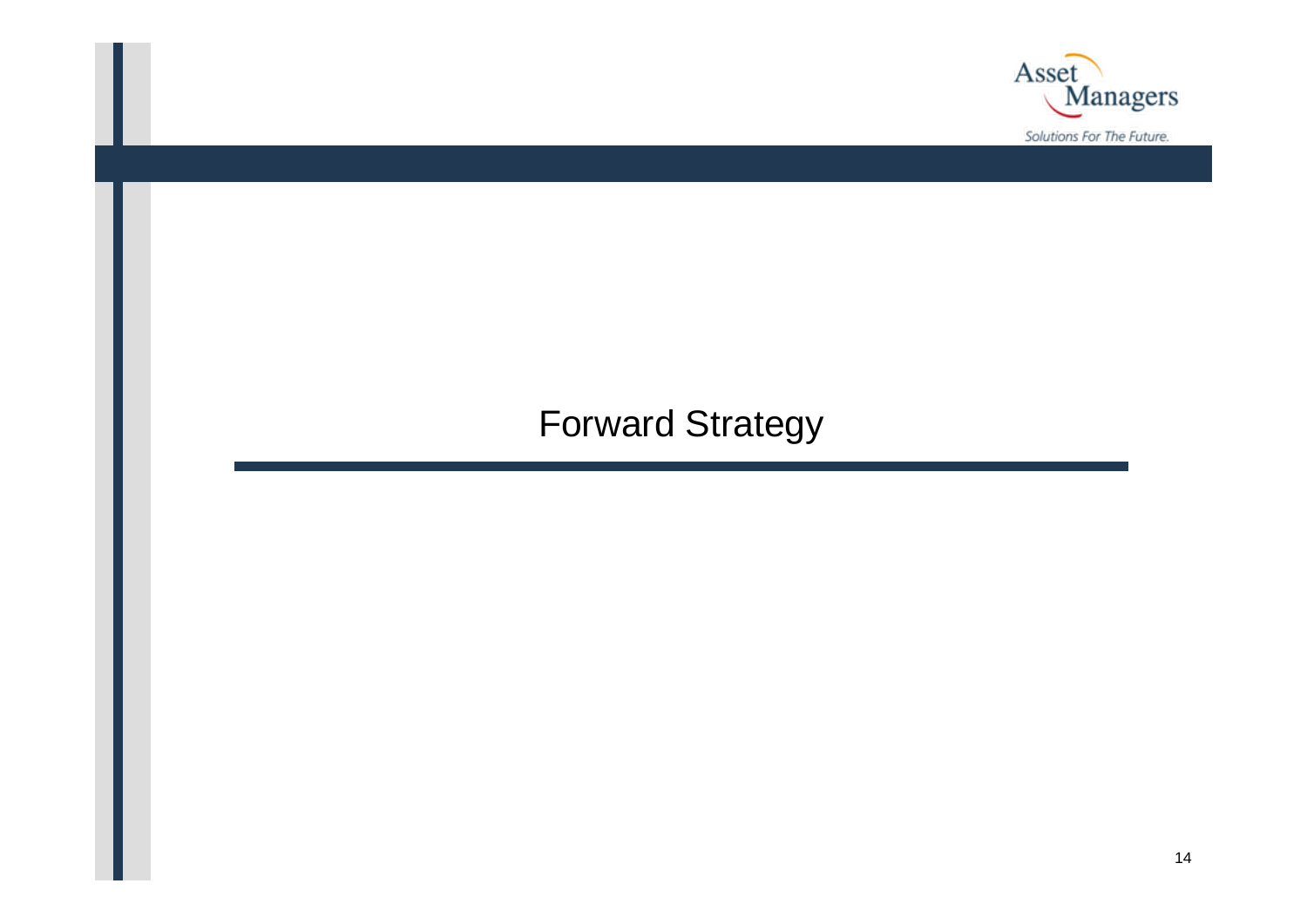

## Forward Strategy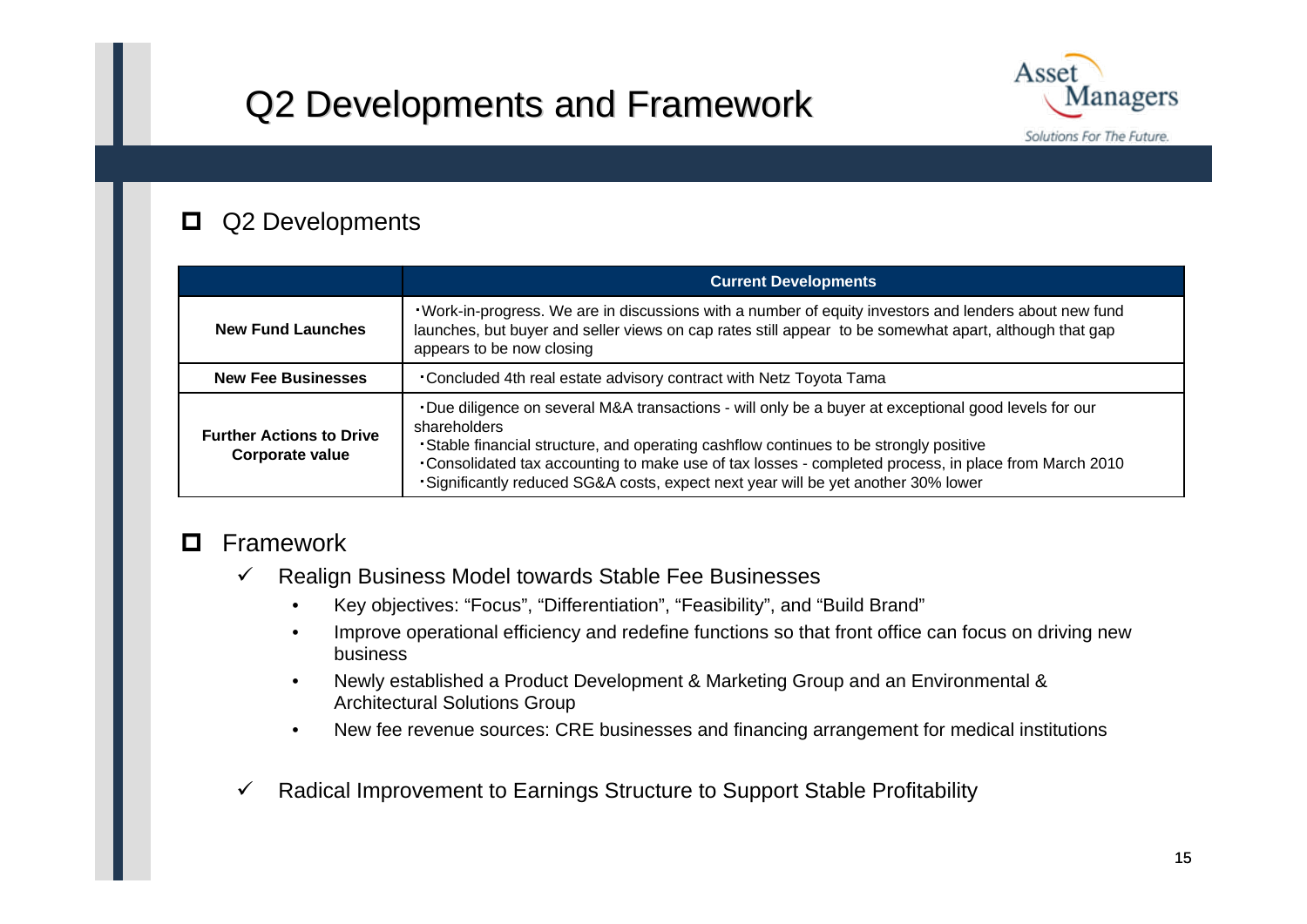# Q2 Developments and Framework Q2 Developments and Framework



#### 0 Q2 Developments

|                                                    | <b>Current Developments</b>                                                                                                                                                                                                                                                                                                                                                                                   |
|----------------------------------------------------|---------------------------------------------------------------------------------------------------------------------------------------------------------------------------------------------------------------------------------------------------------------------------------------------------------------------------------------------------------------------------------------------------------------|
| <b>New Fund Launches</b>                           | . Work-in-progress. We are in discussions with a number of equity investors and lenders about new fund<br>launches, but buyer and seller views on cap rates still appear to be somewhat apart, although that gap<br>appears to be now closing                                                                                                                                                                 |
| <b>New Fee Businesses</b>                          | Concluded 4th real estate advisory contract with Netz Toyota Tama                                                                                                                                                                                                                                                                                                                                             |
| <b>Further Actions to Drive</b><br>Corporate value | . Due diligence on several M&A transactions - will only be a buyer at exceptional good levels for our<br>shareholders<br>. Stable financial structure, and operating cashflow continues to be strongly positive<br>•Consolidated tax accounting to make use of tax losses - completed process, in place from March 2010<br>. Significantly reduced SG&A costs, expect next year will be yet another 30% lower |

#### $\blacksquare$ Framework

- $\checkmark$  Realign Business Model towards Stable Fee Businesses
	- Key objectives: "Focus", "Differentiation", "Feasibility", and "Build Brand"
	- Improve operational efficiency and redefine functions so that front office can focus on driving new business
	- Newly established a Product Development & Marketing Group and an Environmental & Architectural Solutions Group
	- New fee revenue sources: CRE businesses and financing arrangement for medical institutions
- $\checkmark$ Radical Improvement to Earnings Structure to Support Stable Profitability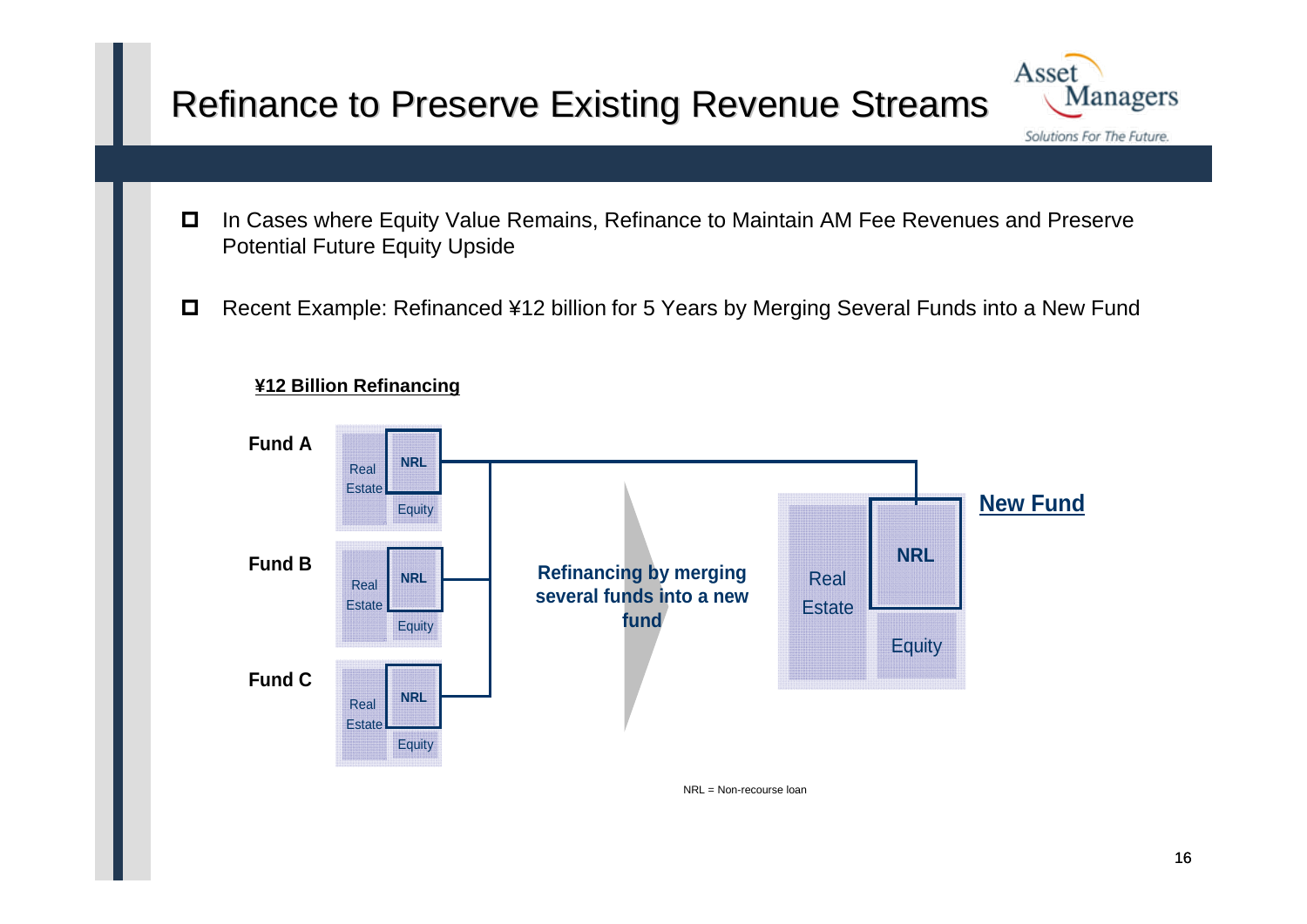## Refinance to Preserve Existing Revenue Streams



- $\Box$  In Cases where Equity Value Remains, Refinance to Maintain AM Fee Revenues and Preserve Potential Future Equity Upside
- $\Box$ Recent Example: Refinanced ¥12 billion for 5 Years by Merging Several Funds into a New Fund



### **¥12 Billion Refinancing**

NRL = Non-recourse loan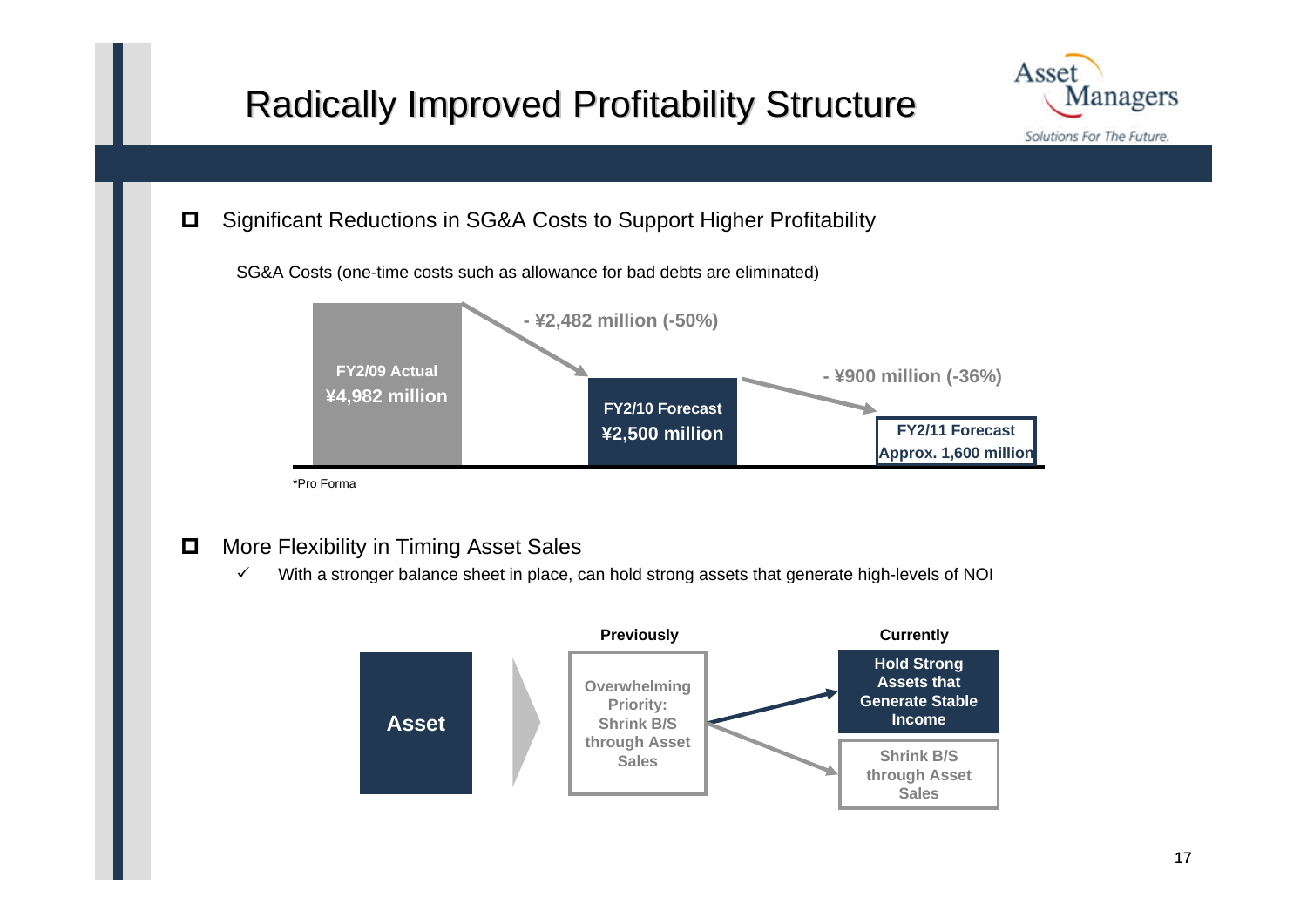# Radically Improved Profitability Structure



 $\Box$ Significant Reductions in SG&A Costs to Support Higher Profitability

SG&A Costs (one-time costs such as allowance for bad debts are eliminated)



\*Pro Forma

- $\Box$  More Flexibility in Timing Asset Sales
	- $\checkmark$ With a stronger balance sheet in place, can hold strong assets that generate high-levels of NOI

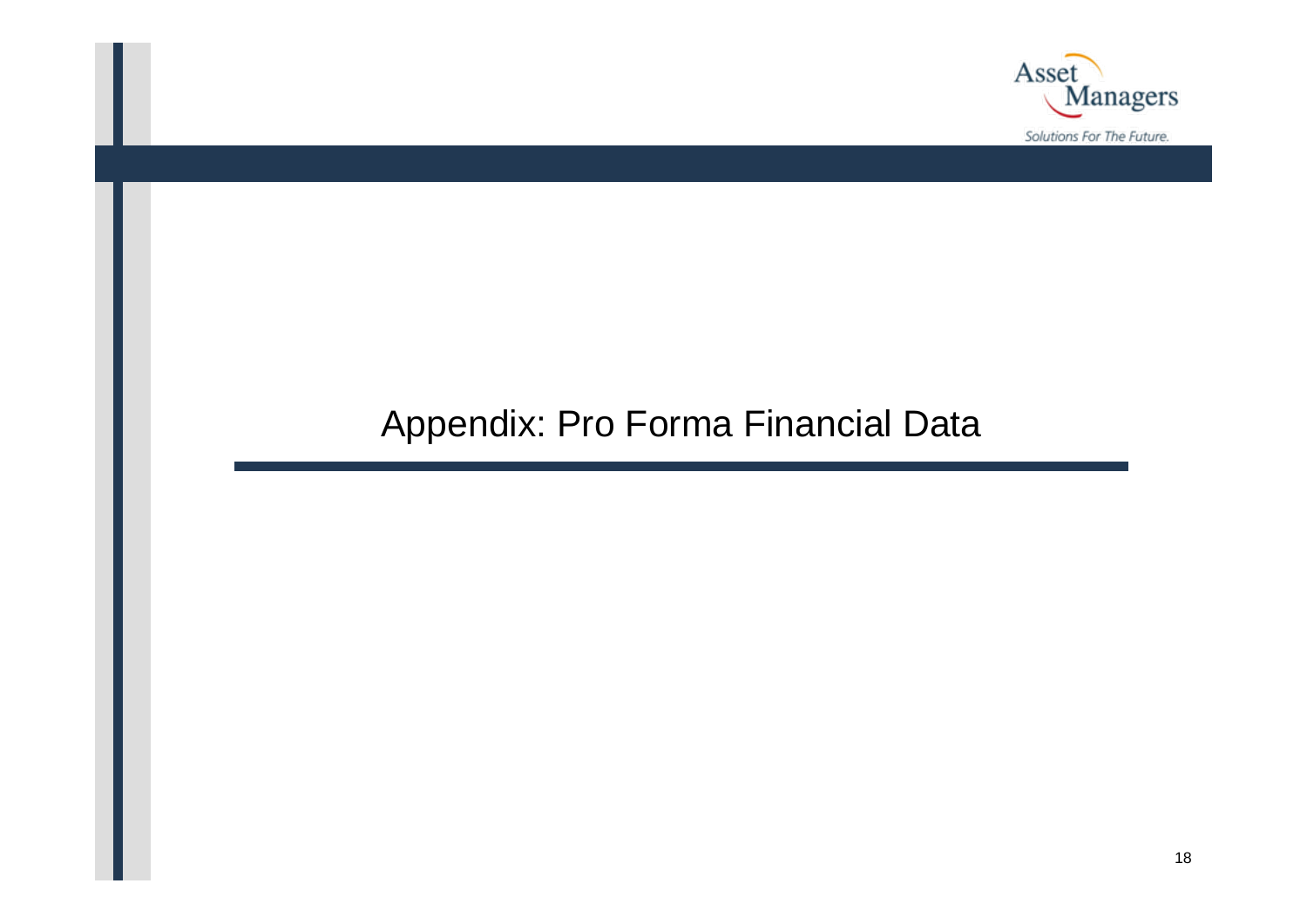

### Appendix: Pro Forma Financial Data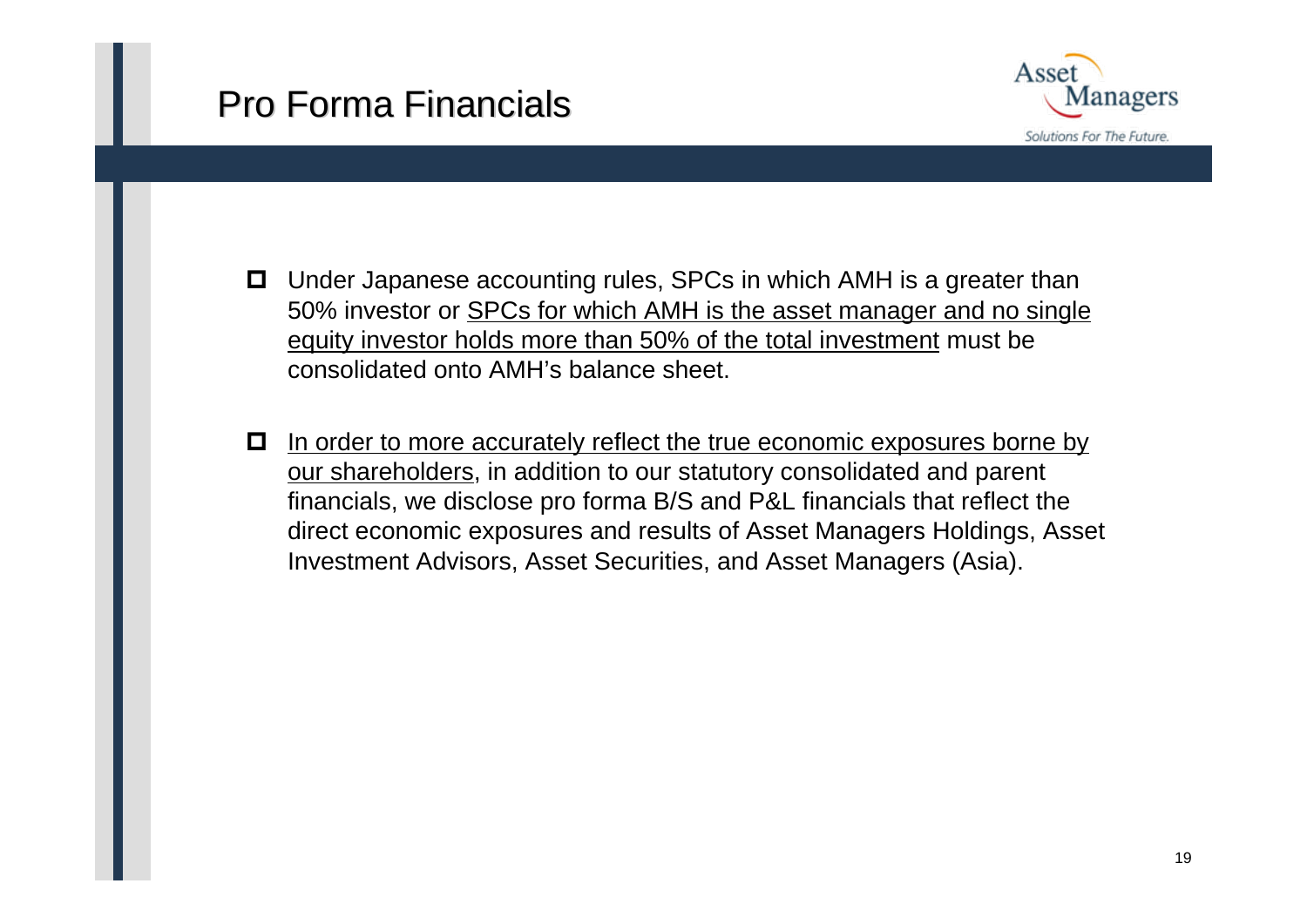# Pro Forma Financials



- **□** Under Japanese accounting rules, SPCs in which AMH is a greater than 50% investor or SPCs for which AMH is the asset manager and no single equity investor holds more than 50% of the total investment must be consolidated onto AMH's balance sheet.
- 0 In order to more accurately reflect the true economic exposures borne by our shareholders, in addition to our statutory consolidated and parent financials, we disclose pro forma B/S and P&L financials that reflect the direct economic exposures and results of Asset Managers Holdings, Asset Investment Advisors, Asset Securities, and Asset Managers (Asia).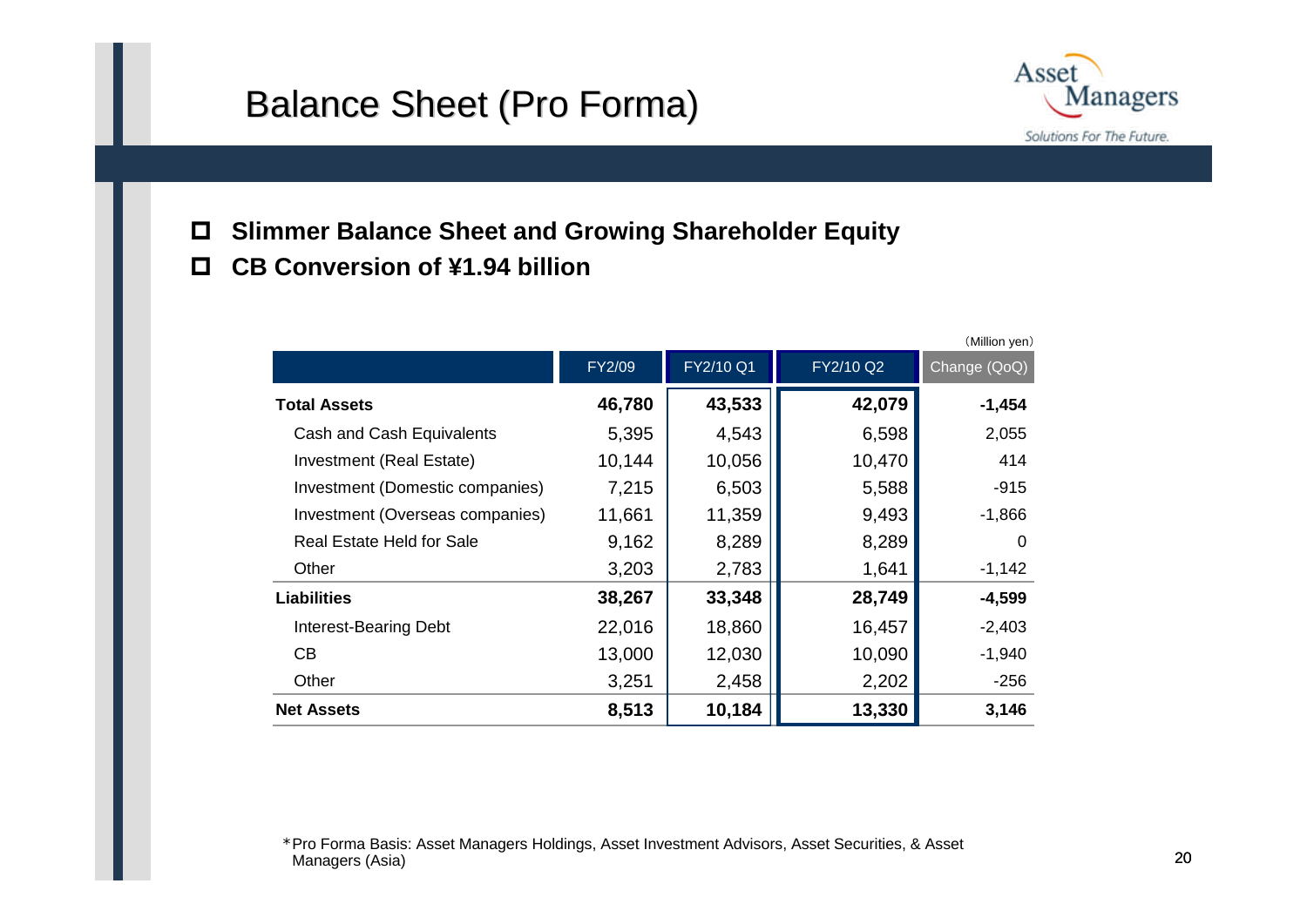### Balance Sheet (Pro Forma)



- $\Box$ **Slimmer Balance Sheet and Growing Shareholder Equity**
- $\mathbf{\mathsf{m}}$ **CB Conversion of ¥1.94 billion**

|                                 |        |           |           | (Million yen) |
|---------------------------------|--------|-----------|-----------|---------------|
|                                 | FY2/09 | FY2/10 Q1 | FY2/10 Q2 | Change (QoQ)  |
| <b>Total Assets</b>             | 46,780 | 43,533    | 42,079    | $-1,454$      |
| Cash and Cash Equivalents       | 5,395  | 4,543     | 6,598     | 2,055         |
| Investment (Real Estate)        | 10,144 | 10,056    | 10,470    | 414           |
| Investment (Domestic companies) | 7,215  | 6,503     | 5,588     | $-915$        |
| Investment (Overseas companies) | 11,661 | 11,359    | 9,493     | $-1,866$      |
| Real Estate Held for Sale       | 9,162  | 8,289     | 8,289     | 0             |
| Other                           | 3,203  | 2,783     | 1,641     | $-1,142$      |
| <b>Liabilities</b>              | 38,267 | 33,348    | 28,749    | $-4,599$      |
| Interest-Bearing Debt           | 22,016 | 18,860    | 16,457    | $-2,403$      |
| CB                              | 13,000 | 12,030    | 10,090    | $-1,940$      |
| Other                           | 3,251  | 2,458     | 2,202     | $-256$        |
| <b>Net Assets</b>               | 8,513  | 10,184    | 13,330    | 3,146         |

\*Pro Forma Basis: Asset Managers Holdings, Asset Investment Advisors, Asset Securities, & Asset Managers (Asia)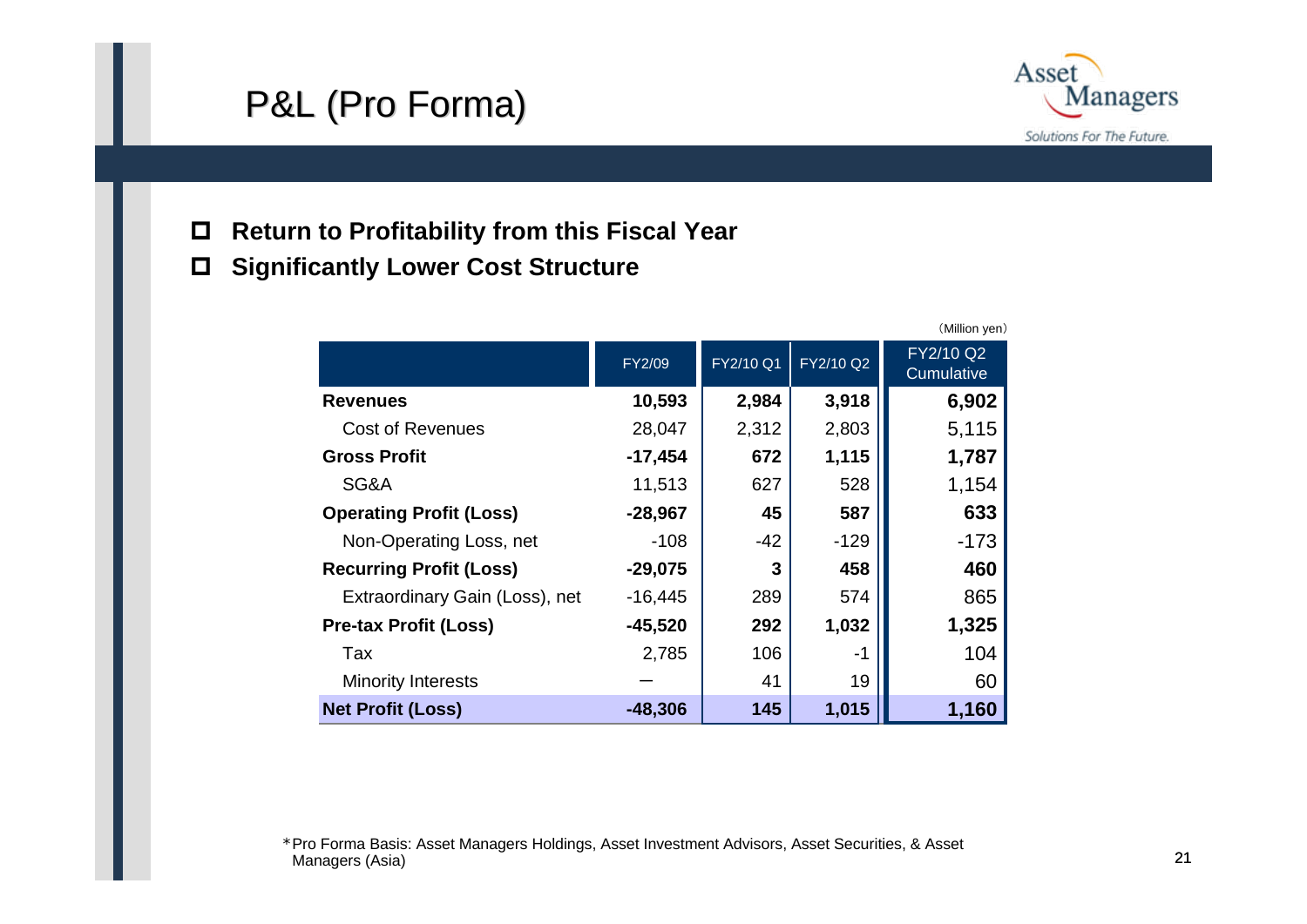## P&L (Pro Forma)



- $\Box$ **Return to Profitability from this Fiscal Year**
- $\Box$ **Significantly Lower Cost Structure**

|                                |           |           |           | (Million yen)                  |
|--------------------------------|-----------|-----------|-----------|--------------------------------|
|                                | FY2/09    | FY2/10 Q1 | FY2/10 Q2 | FY2/10 Q2<br><b>Cumulative</b> |
| <b>Revenues</b>                | 10,593    | 2,984     | 3,918     | 6,902                          |
| <b>Cost of Revenues</b>        | 28,047    | 2,312     | 2,803     | 5,115                          |
| <b>Gross Profit</b>            | $-17,454$ | 672       | 1,115     | 1,787                          |
| SG&A                           | 11,513    | 627       | 528       | 1,154                          |
| <b>Operating Profit (Loss)</b> | $-28,967$ | 45        | 587       | 633                            |
| Non-Operating Loss, net        | $-108$    | $-42$     | $-129$    | $-173$                         |
| <b>Recurring Profit (Loss)</b> | $-29,075$ | 3         | 458       | 460                            |
| Extraordinary Gain (Loss), net | $-16,445$ | 289       | 574       | 865                            |
| <b>Pre-tax Profit (Loss)</b>   | $-45,520$ | 292       | 1,032     | 1,325                          |
| Tax                            | 2,785     | 106       | -1        | 104                            |
| <b>Minority Interests</b>      |           | 41        | 19        | 60                             |
| <b>Net Profit (Loss)</b>       | $-48,306$ | 145       | 1,015     | 1,160                          |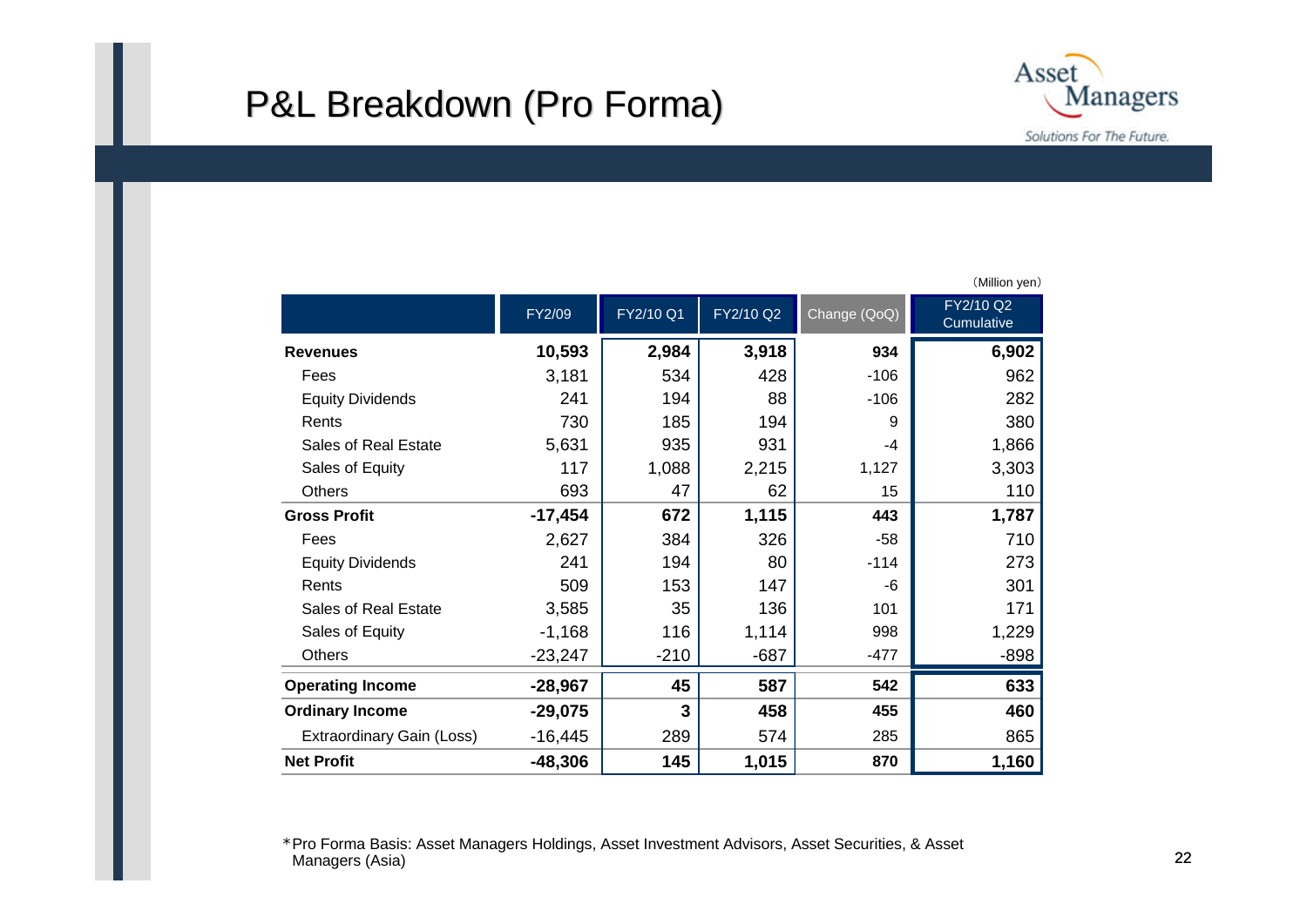### P&L Breakdown (Pro Forma)



FY2/09 | FY2/10 Q1 | FY2/10 Q2 Change (QoQ) | FY2/10 Q2 **Revenues 10,593 2,984 3,918 934 6,902** Feess 3,181 | 534 | 428 | -106 | 962 Equity Dividends 241 | 194 | 88 | 106 | 282 Rents 730 185 1949 380Sales of Real Estate 5,631 935 931 -4 1,866 Sales of Equity 117 | 1,088 | 2,215 | 1,127 | 3,303 **Others**  693 47 62 $62$  15 110 **Gross Profit -17,454 672 1,115 443 1,787** Feess 2,627 | 384 | 326 | -58 | 710 Equity Dividends  $241$   $194$   $80$   $-114$   $1273$ Rents 509 153 147147  $\vert$  -6 301 Sales of Real Estate 3,585 35 136 101 171 Sales of Equity **1.14 1168 1.114** 1.114 1.114 998 1.229 **Others** s -23,247 | -210 | -687 | -477 | -898 **Operating Income -28,967 45 587 542 633 Ordinary Income -29,075 3 458 455 460** Extraordinary Gain (Loss)  $-16,445$  | 289 | 574 | 285 | 865 **Net Profit-48,306 145 1,015 870 1,160**

(Million yen)

\*Pro Forma Basis: Asset Managers Holdings, Asset Investment Advisors, Asset Securities, & Asset Managers (Asia)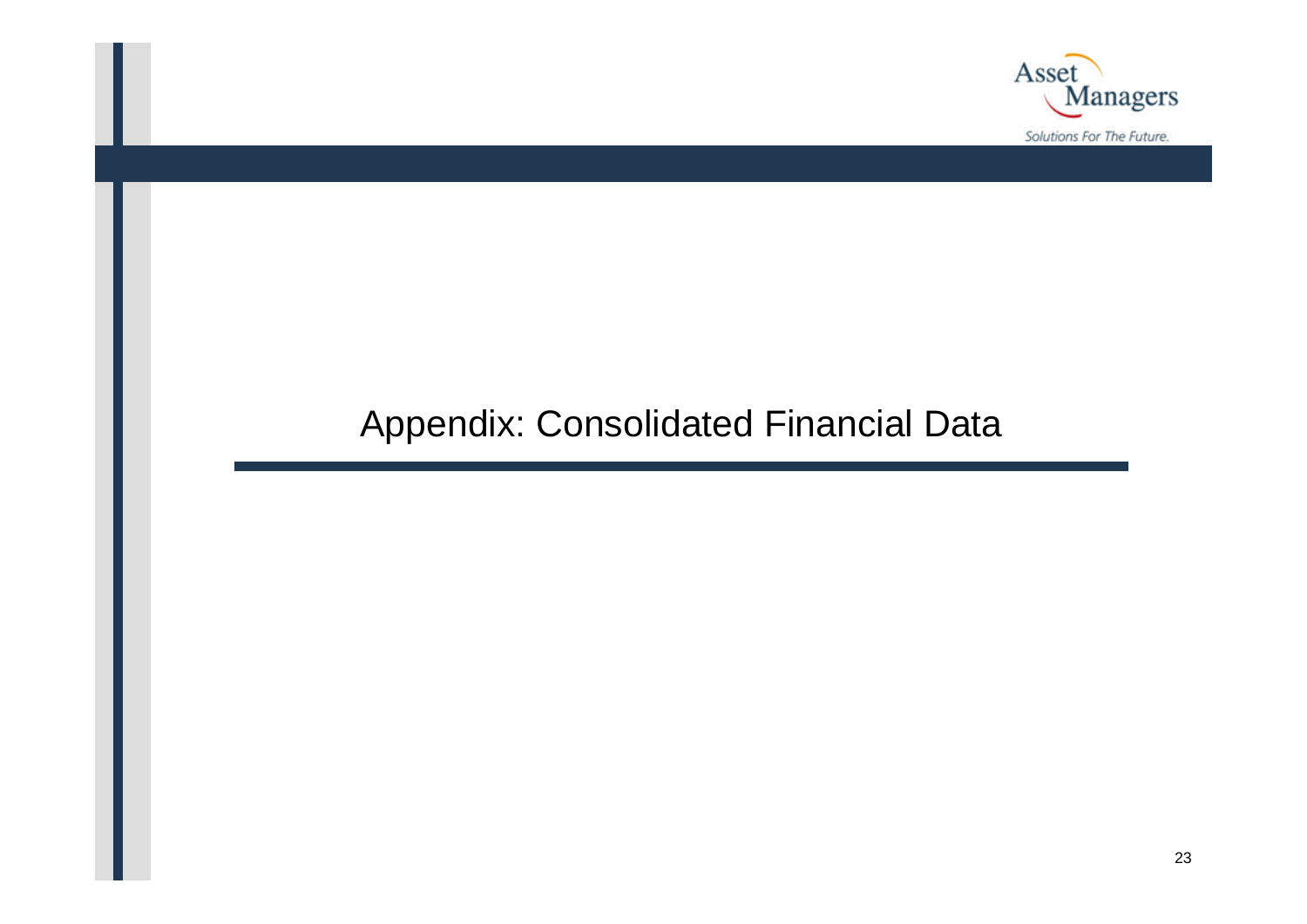

## Appendix: Consolidated Financial Data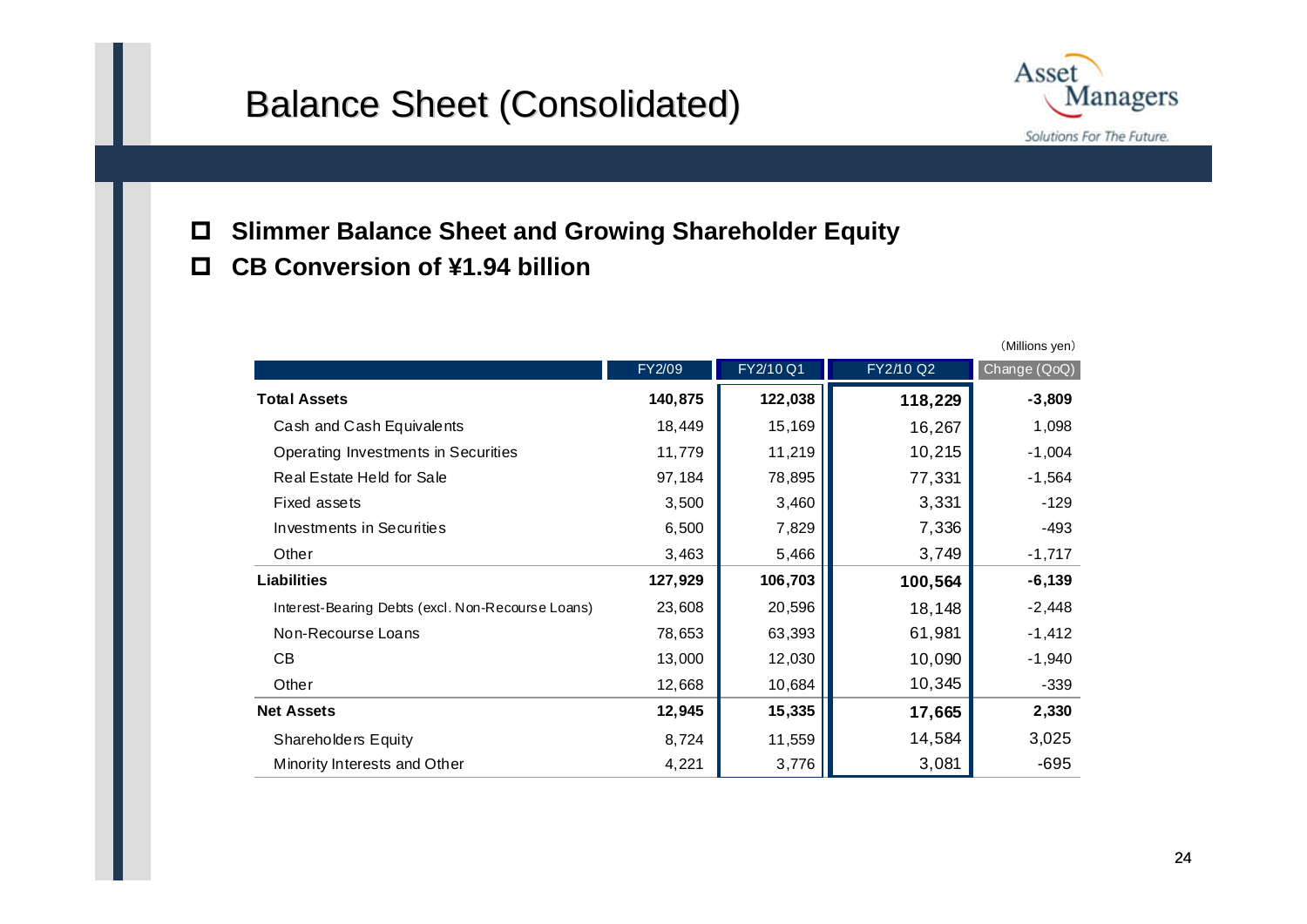### Balance Sheet (Consolidated)



- $\Box$ **Slimmer Balance Sheet and Growing Shareholder Equity**
- $\Box$ **CB Conversion of ¥1.94 billion**

|                                                   |         |           |           | (Millions yen) |
|---------------------------------------------------|---------|-----------|-----------|----------------|
|                                                   | FY2/09  | FY2/10 Q1 | FY2/10 Q2 | Change (QoQ)   |
| <b>Total Assets</b>                               | 140,875 | 122,038   | 118,229   | $-3,809$       |
| Cash and Cash Equivalents                         | 18,449  | 15,169    | 16,267    | 1,098          |
| Operating Investments in Securities               | 11,779  | 11,219    | 10,215    | $-1,004$       |
| Real Estate Held for Sale                         | 97,184  | 78,895    | 77,331    | $-1,564$       |
| Fixed assets                                      | 3,500   | 3,460     | 3,331     | $-129$         |
| Investments in Securities                         | 6,500   | 7,829     | 7,336     | -493           |
| Other                                             | 3,463   | 5,466     | 3,749     | $-1,717$       |
| <b>Liabilities</b>                                | 127,929 | 106,703   | 100,564   | $-6,139$       |
| Interest-Bearing Debts (excl. Non-Recourse Loans) | 23,608  | 20,596    | 18,148    | $-2,448$       |
| Non-Recourse Loans                                | 78,653  | 63,393    | 61,981    | $-1,412$       |
| <b>CB</b>                                         | 13,000  | 12,030    | 10,090    | $-1,940$       |
| Other                                             | 12,668  | 10,684    | 10,345    | $-339$         |
| <b>Net Assets</b>                                 | 12,945  | 15,335    | 17,665    | 2,330          |
| Shareholders Equity                               | 8,724   | 11,559    | 14,584    | 3,025          |
| Minority Interests and Other                      | 4,221   | 3,776     | 3,081     | $-695$         |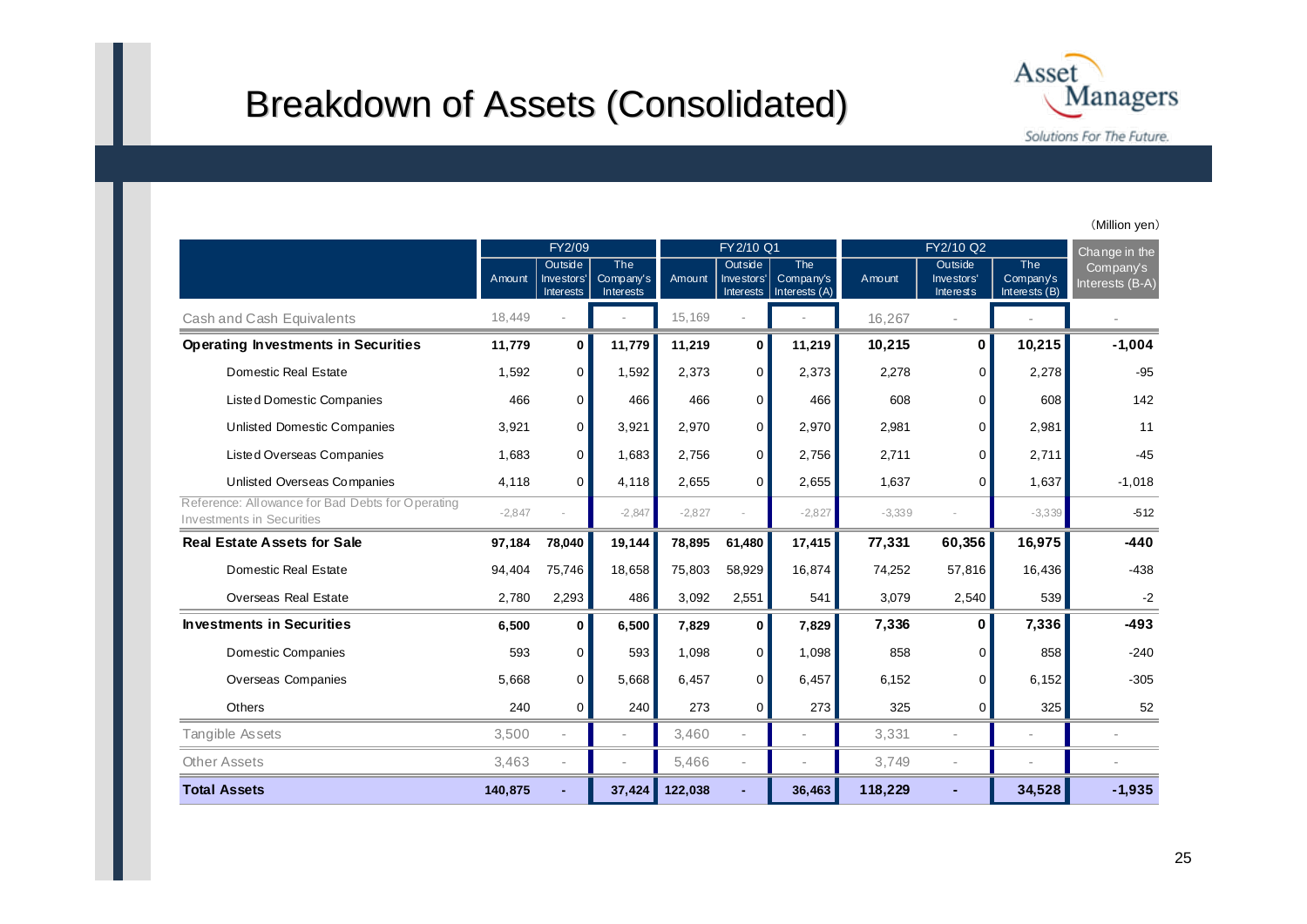### Breakdown of Assets (Consolidated)



(Million yen)

|                                                                                      |          | FY2/09                             |                               | FY 2/10 Q1 |                                           | FY2/10 Q2                                |          |                                    | Change in the                            |                              |
|--------------------------------------------------------------------------------------|----------|------------------------------------|-------------------------------|------------|-------------------------------------------|------------------------------------------|----------|------------------------------------|------------------------------------------|------------------------------|
|                                                                                      | Amount   | Outside<br>Investors'<br>Interests | The<br>Company's<br>Interests | Amount     | Outside<br>Investors'<br><b>Interests</b> | <b>The</b><br>Company's<br>Interests (A) | Amount   | Outside<br>Investors'<br>Interests | <b>The</b><br>Company's<br>Interests (B) | Company's<br>Interests (B-A) |
| Cash and Cash Equivalents                                                            | 18,449   |                                    |                               | 15,169     |                                           |                                          | 16,267   |                                    |                                          |                              |
| <b>Operating Investments in Securities</b>                                           | 11,779   | $\mathbf{0}$                       | 11,779                        | 11,219     | $\mathbf 0$                               | 11,219                                   | 10,215   | 0                                  | 10,215                                   | $-1,004$                     |
| Domestic Real Estate                                                                 | 1,592    | $\Omega$                           | 1,592                         | 2,373      | $\mathbf 0$                               | 2,373                                    | 2,278    | 0                                  | 2,278                                    | $-95$                        |
| <b>Listed Domestic Companies</b>                                                     | 466      | $\Omega$                           | 466                           | 466        | 0                                         | 466                                      | 608      | 0                                  | 608                                      | 142                          |
| <b>Unlisted Domestic Companies</b>                                                   | 3,921    | 0                                  | 3,921                         | 2,970      | 0                                         | 2,970                                    | 2,981    | 0                                  | 2,981                                    | 11                           |
| Listed Overseas Companies                                                            | 1,683    | $\overline{0}$                     | 1,683                         | 2,756      | 0                                         | 2,756                                    | 2,711    | $\mathbf 0$                        | 2,711                                    | $-45$                        |
| Unlisted Overseas Companies                                                          | 4,118    | $\Omega$                           | 4,118                         | 2,655      | 0                                         | 2,655                                    | 1,637    | $\Omega$                           | 1,637                                    | $-1,018$                     |
| Reference: Allowance for Bad Debts for Operating<br><b>Investments in Securities</b> | $-2,847$ |                                    | $-2,847$                      | $-2,827$   |                                           | $-2,827$                                 | $-3,339$ |                                    | $-3,339$                                 | $-512$                       |
| <b>Real Estate Assets for Sale</b>                                                   | 97,184   | 78,040                             | 19,144                        | 78,895     | 61,480                                    | 17,415                                   | 77,331   | 60,356                             | 16,975                                   | $-440$                       |
| Domestic Real Estate                                                                 | 94,404   | 75,746                             | 18,658                        | 75,803     | 58,929                                    | 16,874                                   | 74,252   | 57,816                             | 16,436                                   | $-438$                       |
| <b>Overseas Real Estate</b>                                                          | 2,780    | 2,293                              | 486                           | 3,092      | 2,551                                     | 541                                      | 3,079    | 2,540                              | 539                                      | $-2$                         |
| <b>Investments in Securities</b>                                                     | 6,500    | $\mathbf{0}$                       | 6,500                         | 7,829      | $\mathbf 0$                               | 7,829                                    | 7,336    | 0                                  | 7,336                                    | $-493$                       |
| Domestic Companies                                                                   | 593      | $\overline{0}$                     | 593                           | 1,098      | $\mathbf 0$                               | 1,098                                    | 858      | 0                                  | 858                                      | $-240$                       |
| Overseas Companies                                                                   | 5,668    | $\Omega$                           | 5,668                         | 6,457      | 0                                         | 6,457                                    | 6,152    | 0                                  | 6,152                                    | $-305$                       |
| <b>Others</b>                                                                        | 240      | 0                                  | 240                           | 273        | $\mathbf 0$                               | 273                                      | 325      | 0                                  | 325                                      | 52                           |
| Tangible Assets                                                                      | 3,500    | $\overline{a}$                     |                               | 3,460      |                                           |                                          | 3,331    |                                    |                                          |                              |
| <b>Other Assets</b>                                                                  | 3,463    |                                    |                               | 5.466      |                                           |                                          | 3.749    |                                    |                                          |                              |
| <b>Total Assets</b>                                                                  | 140,875  |                                    | 37,424                        | 122,038    |                                           | 36,463                                   | 118,229  |                                    | 34,528                                   | $-1,935$                     |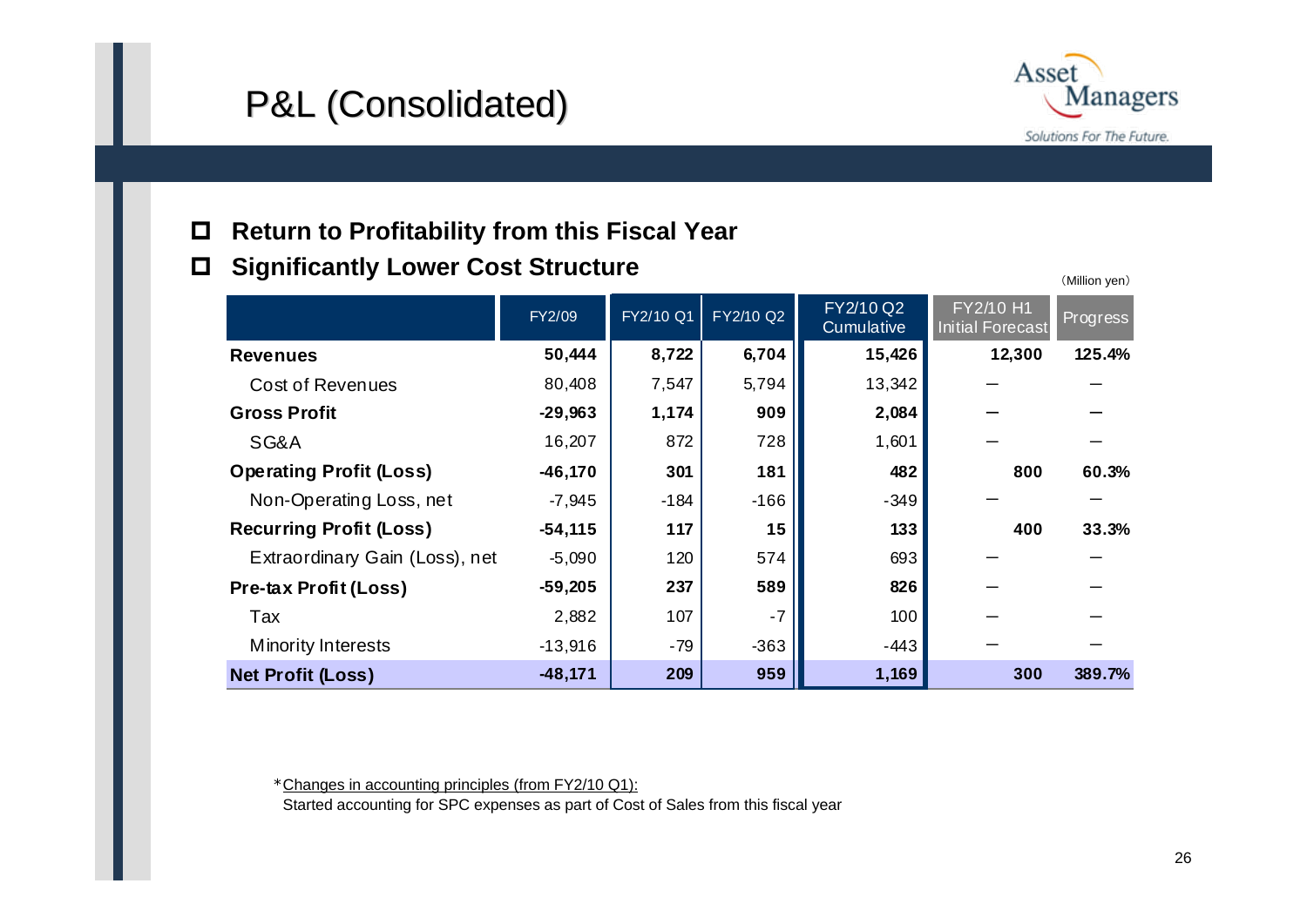# P&L (Consolidated) P&L (Consolidated)



(Million yen)

#### $\Box$ **Return to Profitability from this Fiscal Year**

#### $\Box$ **Significantly Lower Cost Structure**

|                                | FY2/09    | FY2/10 Q1 | <b>FY2/10 Q2</b> | FY2/10 Q2<br>Cumulative | FY2/10 H1<br><b>Initial Forecast</b> | <b>Progress</b> |
|--------------------------------|-----------|-----------|------------------|-------------------------|--------------------------------------|-----------------|
| <b>Revenues</b>                | 50,444    | 8,722     | 6,704            | 15,426                  | 12,300                               | 125.4%          |
| Cost of Revenues               | 80,408    | 7,547     | 5,794            | 13,342                  |                                      |                 |
| <b>Gross Profit</b>            | $-29,963$ | 1,174     | 909              | 2,084                   |                                      |                 |
| SG&A                           | 16,207    | 872       | 728              | 1,601                   |                                      |                 |
| <b>Operating Profit (Loss)</b> | $-46,170$ | 301       | 181              | 482                     | 800                                  | 60.3%           |
| Non-Operating Loss, net        | $-7,945$  | $-184$    | $-166$           | $-349$                  |                                      |                 |
| <b>Recurring Profit (Loss)</b> | $-54,115$ | 117       | 15               | 133                     | 400                                  | 33.3%           |
| Extraordinary Gain (Loss), net | $-5,090$  | 120       | 574              | 693                     |                                      |                 |
| <b>Pre-tax Profit (Loss)</b>   | $-59,205$ | 237       | 589              | 826                     |                                      |                 |
| Tax                            | 2,882     | 107       | $-7$             | 100                     |                                      |                 |
| <b>Minority Interests</b>      | $-13,916$ | $-79$     | $-363$           | -443                    |                                      |                 |
| <b>Net Profit (Loss)</b>       | $-48,171$ | 209       | 959              | 1,169                   | 300                                  | 389.7%          |

\*Changes in accounting principles (from FY2/10 Q1):

Started accounting for SPC expenses as part of Cost of Sales from this fiscal year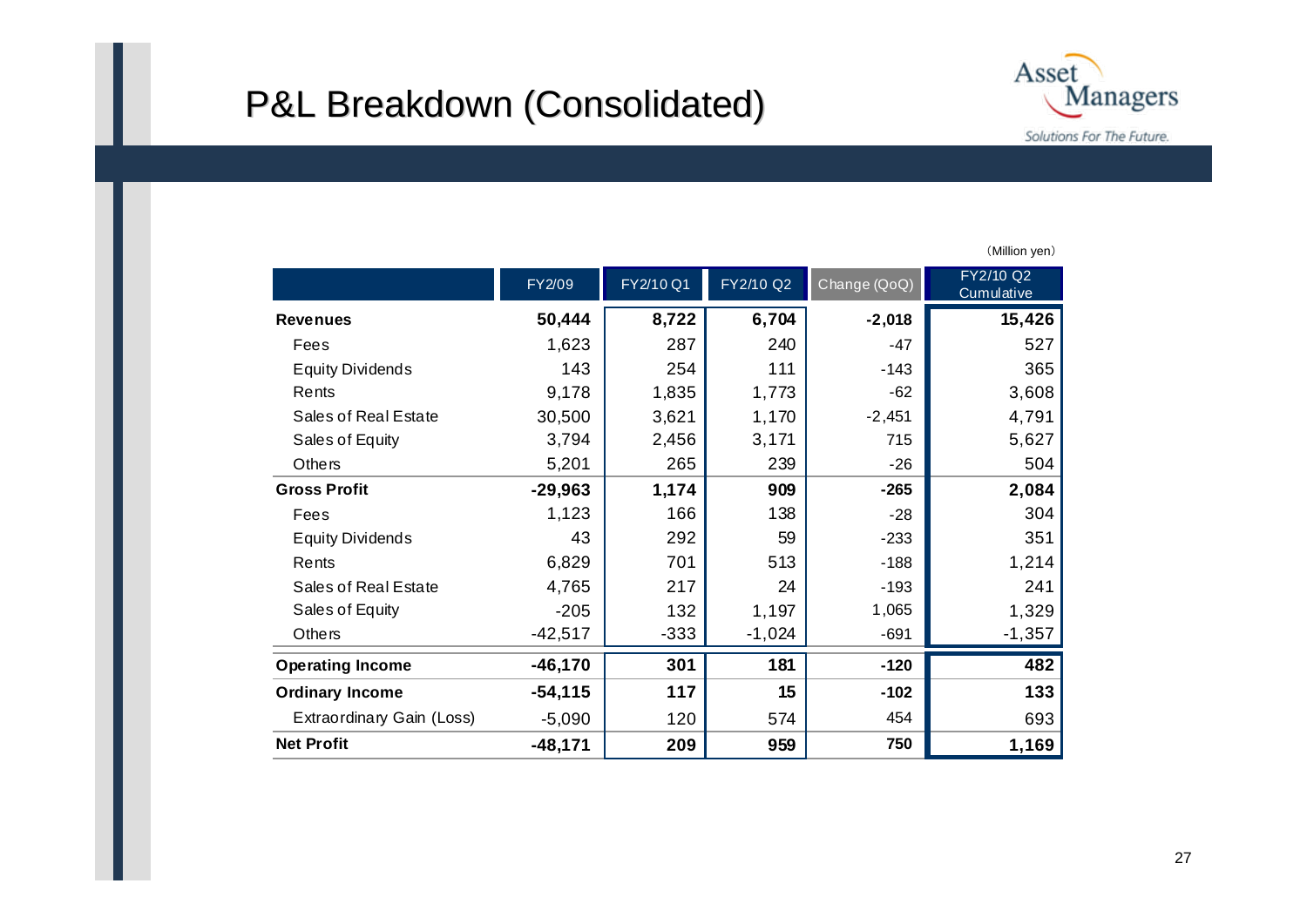### P&L Breakdown (Consolidated) P&L Breakdown (Consolidated)



|                           | FY2/09    | FY2/10 Q1 | FY2/10 Q2 | Change (QoQ) | FY2/10 Q2<br>Cumulative |
|---------------------------|-----------|-----------|-----------|--------------|-------------------------|
| <b>Revenues</b>           | 50,444    | 8,722     | 6,704     | $-2,018$     | 15,426                  |
| Fees                      | 1,623     | 287       | 240       | $-47$        | 527                     |
| <b>Equity Dividends</b>   | 143       | 254       | 111       | $-143$       | 365                     |
| Rents                     | 9,178     | 1,835     | 1,773     | $-62$        | 3,608                   |
| Sales of Real Estate      | 30,500    | 3,621     | 1,170     | $-2,451$     | 4,791                   |
| Sales of Equity           | 3,794     | 2,456     | 3,171     | 715          | 5,627                   |
| Others                    | 5,201     | 265       | 239       | $-26$        | 504                     |
| <b>Gross Profit</b>       | $-29,963$ | 1,174     | 909       | $-265$       | 2,084                   |
| Fees                      | 1,123     | 166       | 138       | $-28$        | 304                     |
| <b>Equity Dividends</b>   | 43        | 292       | 59        | $-233$       | 351                     |
| Rents                     | 6,829     | 701       | 513       | $-188$       | 1,214                   |
| Sales of Real Estate      | 4,765     | 217       | 24        | $-193$       | 241                     |
| Sales of Equity           | $-205$    | 132       | 1,197     | 1,065        | 1,329                   |
| Others                    | $-42,517$ | $-333$    | $-1,024$  | $-691$       | $-1,357$                |
| <b>Operating Income</b>   | $-46,170$ | 301       | 181       | $-120$       | 482                     |
| <b>Ordinary Income</b>    | $-54,115$ | 117       | 15        | $-102$       | 133                     |
| Extraordinary Gain (Loss) | $-5,090$  | 120       | 574       | 454          | 693                     |
| <b>Net Profit</b>         | $-48,171$ | 209       | 959       | 750          | 1,169                   |

(Million yen)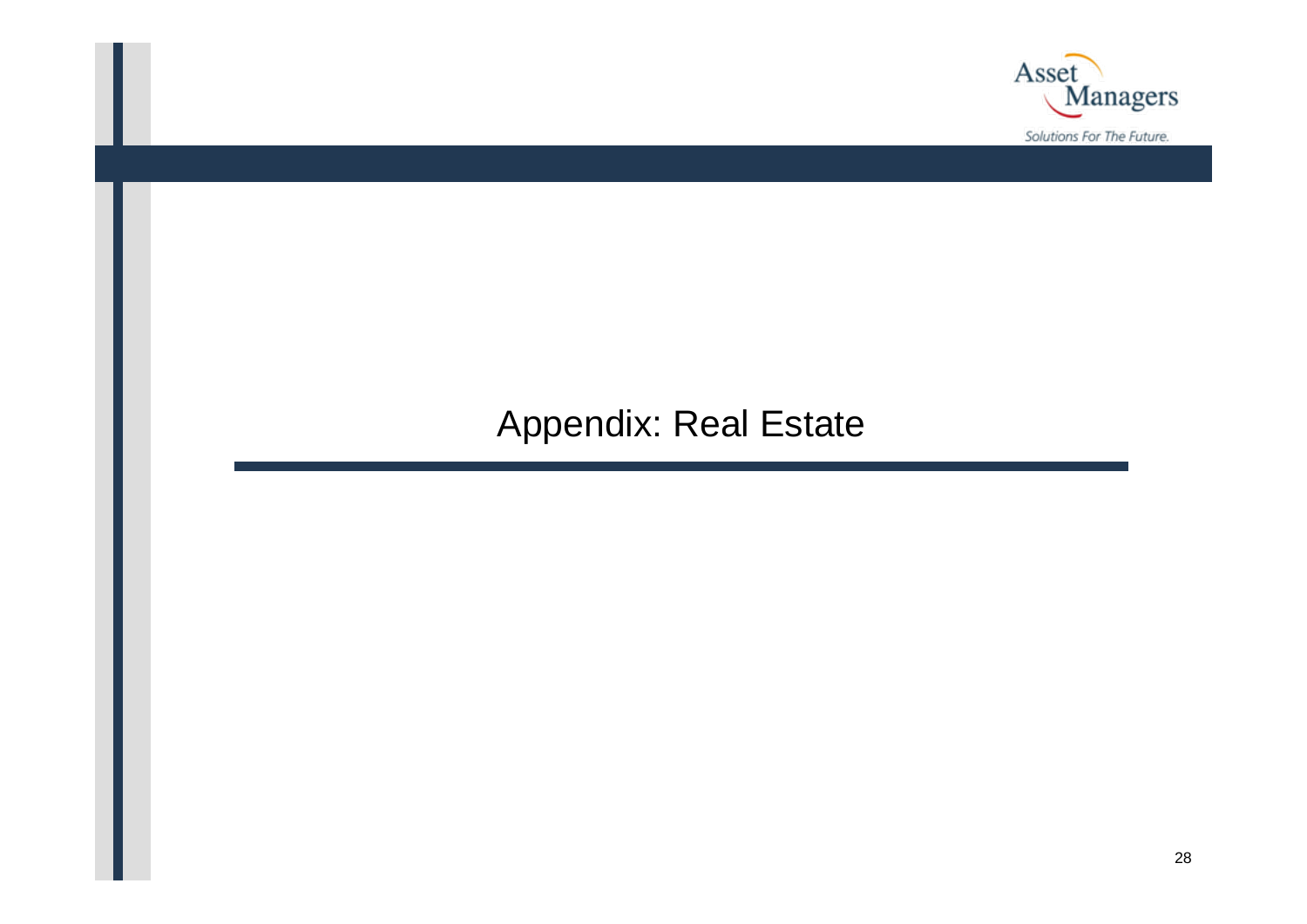

### Appendix: Real Estate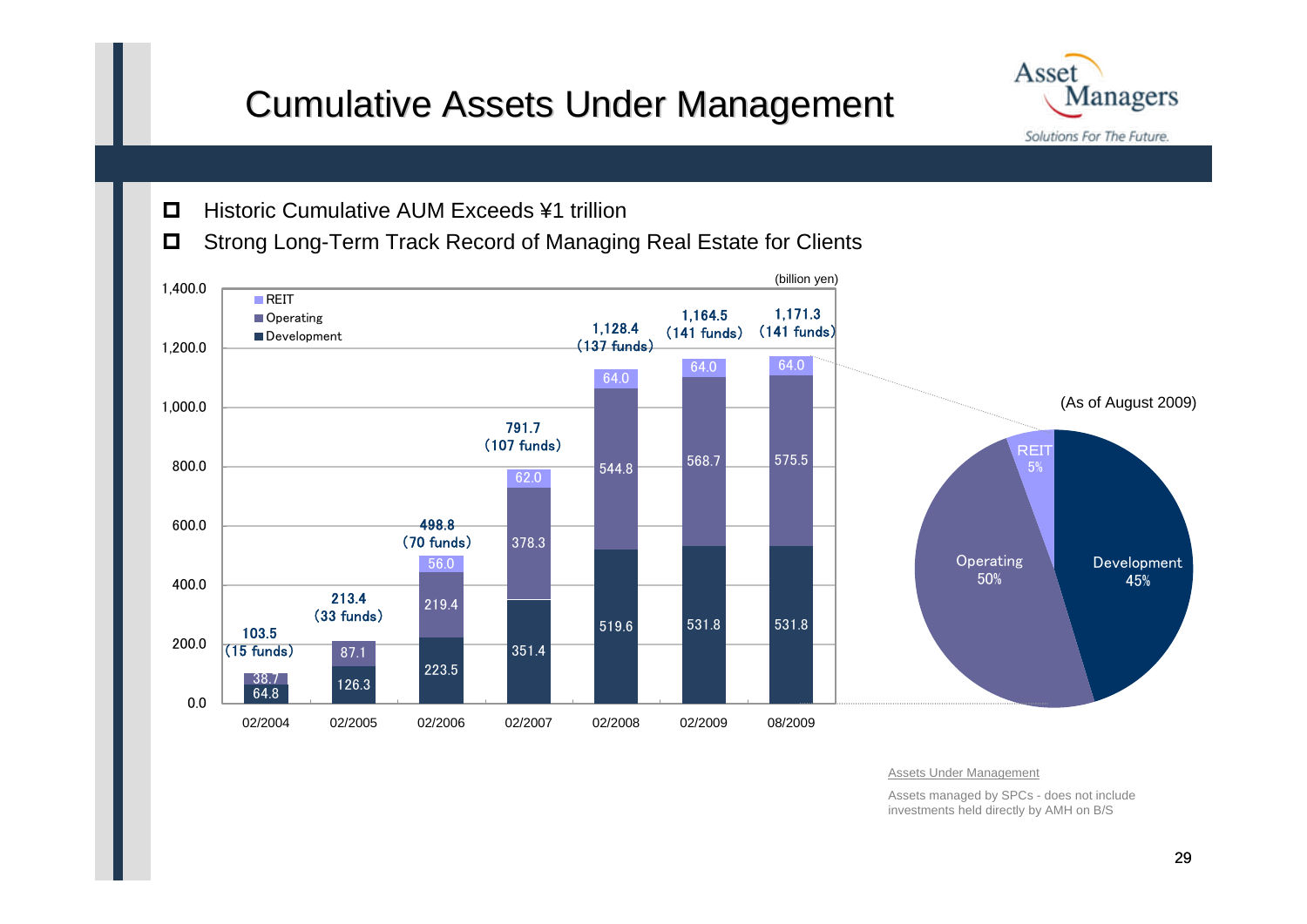## Cumulative Assets Under Management Cumulative Assets Under Management



- $\Box$ Historic Cumulative AUM Exceeds ¥1 trillion
- $\Box$ Strong Long-Term Track Record of Managing Real Estate for Clients



Assets Under Management

Assets managed by SPCs - does not include investments held directly by AMH on B/S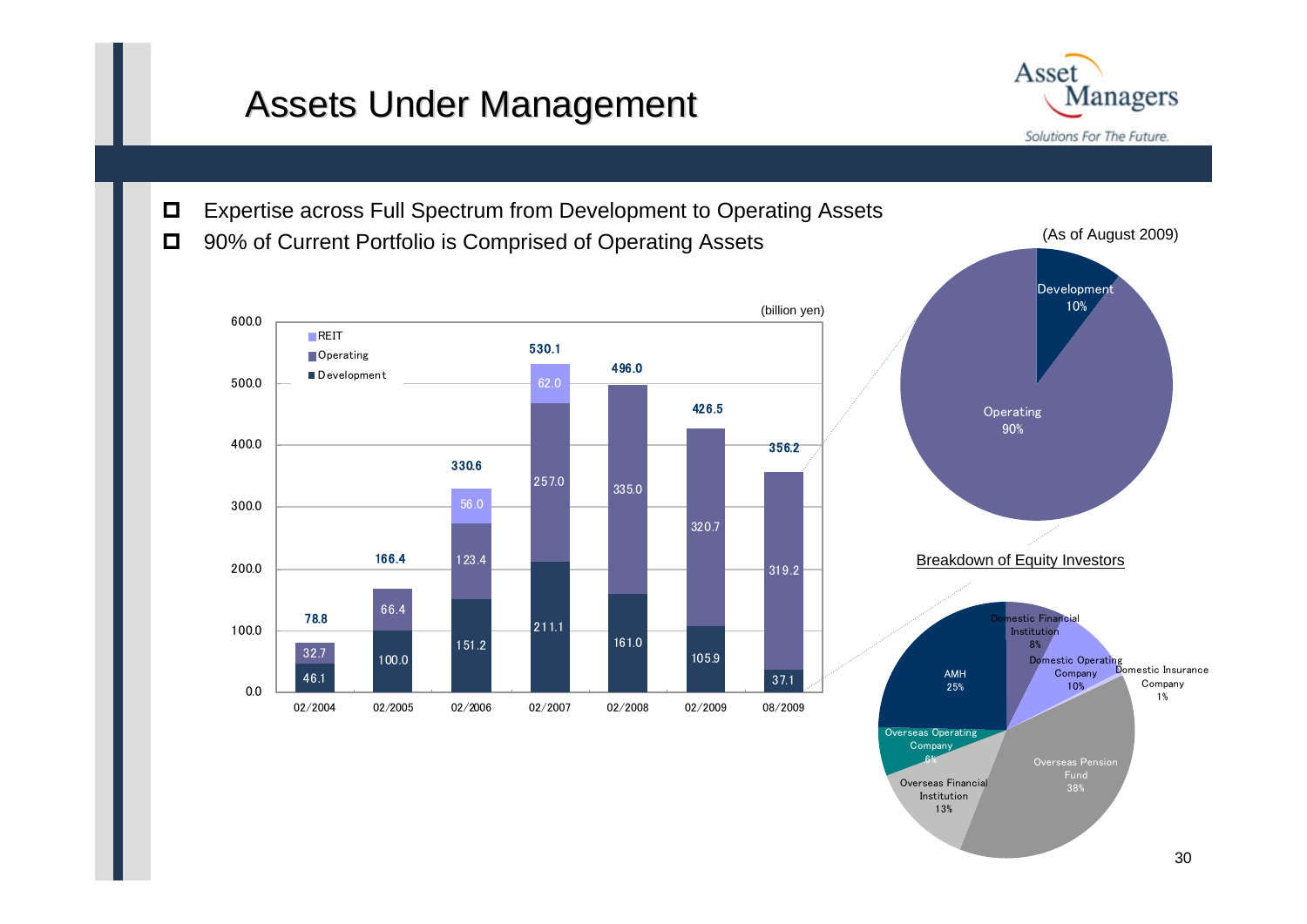### Assets Under Management

Asset **Managers** Solutions For The Future.

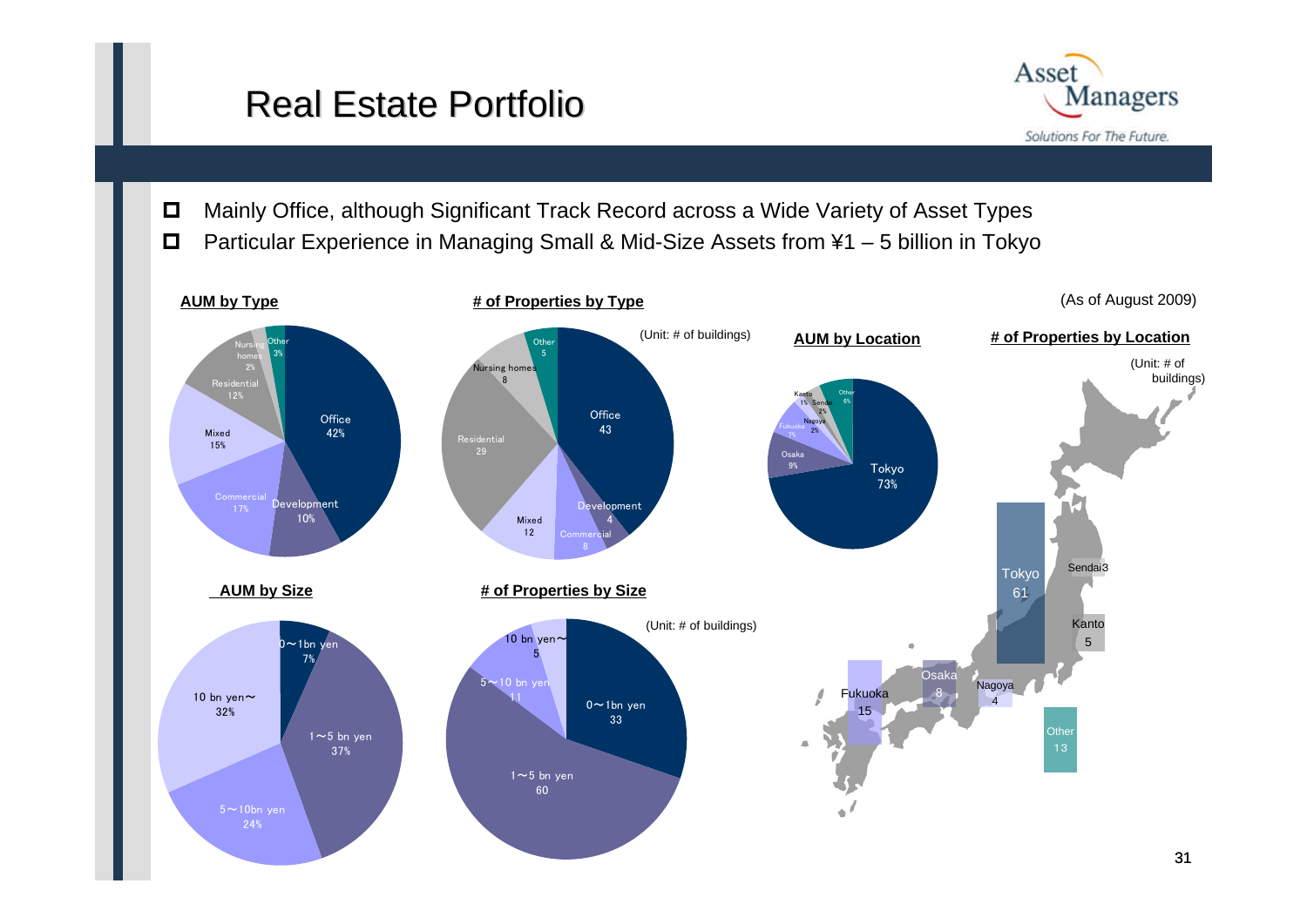## Real Estate Portfolio



- $\Box$ Mainly Office, although Significant Track Record across a Wide Variety of Asset Types
- $\Box$ Particular Experience in Managing Small & Mid-Size Assets from ¥1 – 5 billion in Tokyo

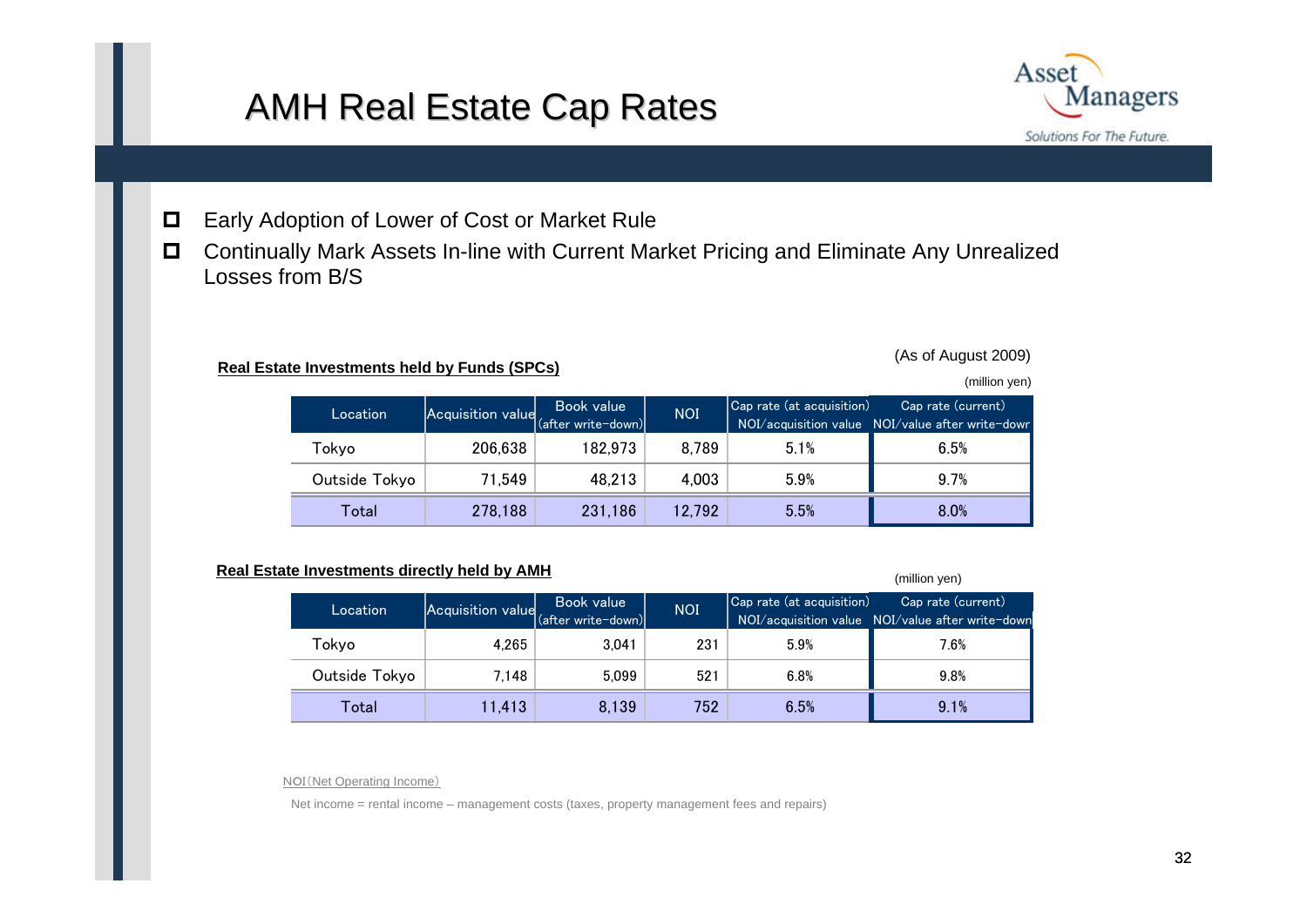### AMH Real Estate Cap Rates



- $\Box$ Early Adoption of Lower of Cost or Market Rule
- $\Box$  Continually Mark Assets In-line with Current Market Pricing and Eliminate Any Unrealized Losses from B/S

### **Real Estate Investments held by Funds (SPCs)**

(As of August 2009)

(million yen)

(million yen)

| Location      | Acquisition value | Book value<br>(after write-down) | NOI <sup>'</sup> | $ $ Cap rate (at acquisition) | Cap rate (current)<br>NOI/acquisition value NOI/value after write-down |
|---------------|-------------------|----------------------------------|------------------|-------------------------------|------------------------------------------------------------------------|
| Tokvo         | 206,638           | 182,973                          | 8.789            | 5.1%                          | 6.5%                                                                   |
| Outside Tokyo | 71.549            | 48,213                           | 4.003            | 5.9%                          | 9.7%                                                                   |
| Total         | 278,188           | 231,186                          | 12.792           | 5.5%                          | 8.0%                                                                   |

### **Real Estate Investments directly held by AMH**

| Location      | Acquisition value (after write-down) | Book value | <b>NOI</b> | Cap rate (at acquisition) | Cap rate (current)<br>NOI/acquisition value  NOI/value after write-down |
|---------------|--------------------------------------|------------|------------|---------------------------|-------------------------------------------------------------------------|
| Tokyo         | 4.265                                | 3.041      | 231        | 5.9%                      | 7.6%                                                                    |
| Outside Tokyo | 7.148                                | 5.099      | 521        | 6.8%                      | 9.8%                                                                    |
| Total         | 11.413                               | 8.139      | 752        | 6.5%                      | 9.1%                                                                    |

NOI(Net Operating Income)

Net income = rental income – management costs (taxes, property management fees and repairs)